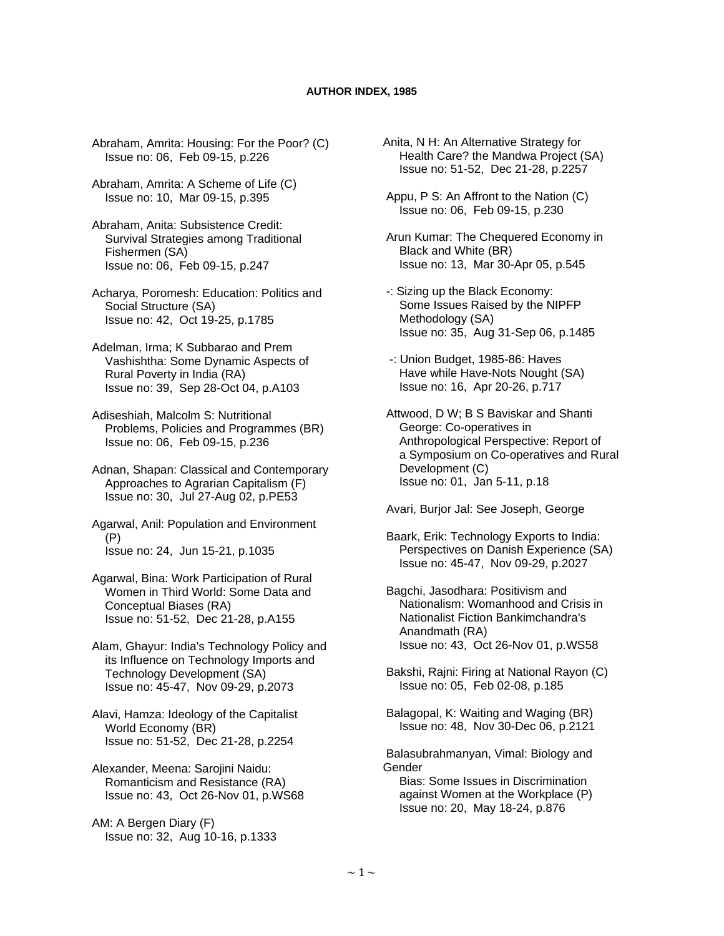Abraham, Amrita: Housing: For the Poor? (C) Issue no: 06, Feb 09-15, p.226

- Abraham, Amrita: A Scheme of Life (C) Issue no: 10, Mar 09-15, p.395
- Abraham, Anita: Subsistence Credit: Survival Strategies among Traditional Fishermen (SA) Issue no: 06, Feb 09-15, p.247

 Acharya, Poromesh: Education: Politics and Social Structure (SA) Issue no: 42, Oct 19-25, p.1785

 Adelman, Irma; K Subbarao and Prem Vashishtha: Some Dynamic Aspects of Rural Poverty in India (RA) Issue no: 39, Sep 28-Oct 04, p.A103

 Adiseshiah, Malcolm S: Nutritional Problems, Policies and Programmes (BR) Issue no: 06, Feb 09-15, p.236

 Adnan, Shapan: Classical and Contemporary Approaches to Agrarian Capitalism (F) Issue no: 30, Jul 27-Aug 02, p.PE53

 Agarwal, Anil: Population and Environment (P) Issue no: 24, Jun 15-21, p.1035

 Agarwal, Bina: Work Participation of Rural Women in Third World: Some Data and Conceptual Biases (RA) Issue no: 51-52, Dec 21-28, p.A155

 Alam, Ghayur: India's Technology Policy and its Influence on Technology Imports and Technology Development (SA) Issue no: 45-47, Nov 09-29, p.2073

 Alavi, Hamza: Ideology of the Capitalist World Economy (BR) Issue no: 51-52, Dec 21-28, p.2254

 Alexander, Meena: Sarojini Naidu: Romanticism and Resistance (RA) Issue no: 43, Oct 26-Nov 01, p.WS68

 AM: A Bergen Diary (F) Issue no: 32, Aug 10-16, p.1333

- Anita, N H: An Alternative Strategy for Health Care? the Mandwa Project (SA) Issue no: 51-52, Dec 21-28, p.2257
- Appu, P S: An Affront to the Nation (C) Issue no: 06, Feb 09-15, p.230

 Arun Kumar: The Chequered Economy in Black and White (BR) Issue no: 13, Mar 30-Apr 05, p.545

- -: Sizing up the Black Economy: Some Issues Raised by the NIPFP Methodology (SA) Issue no: 35, Aug 31-Sep 06, p.1485
- -: Union Budget, 1985-86: Haves Have while Have-Nots Nought (SA) Issue no: 16, Apr 20-26, p.717

 Attwood, D W; B S Baviskar and Shanti George: Co-operatives in Anthropological Perspective: Report of a Symposium on Co-operatives and Rural Development (C) Issue no: 01, Jan 5-11, p.18

Avari, Burjor Jal: See Joseph, George

 Baark, Erik: Technology Exports to India: Perspectives on Danish Experience (SA) Issue no: 45-47, Nov 09-29, p.2027

 Bagchi, Jasodhara: Positivism and Nationalism: Womanhood and Crisis in Nationalist Fiction Bankimchandra's Anandmath (RA) Issue no: 43, Oct 26-Nov 01, p.WS58

 Bakshi, Rajni: Firing at National Rayon (C) Issue no: 05, Feb 02-08, p.185

 Balagopal, K: Waiting and Waging (BR) Issue no: 48, Nov 30-Dec 06, p.2121

 Balasubrahmanyan, Vimal: Biology and Gender

 Bias: Some Issues in Discrimination against Women at the Workplace (P) Issue no: 20, May 18-24, p.876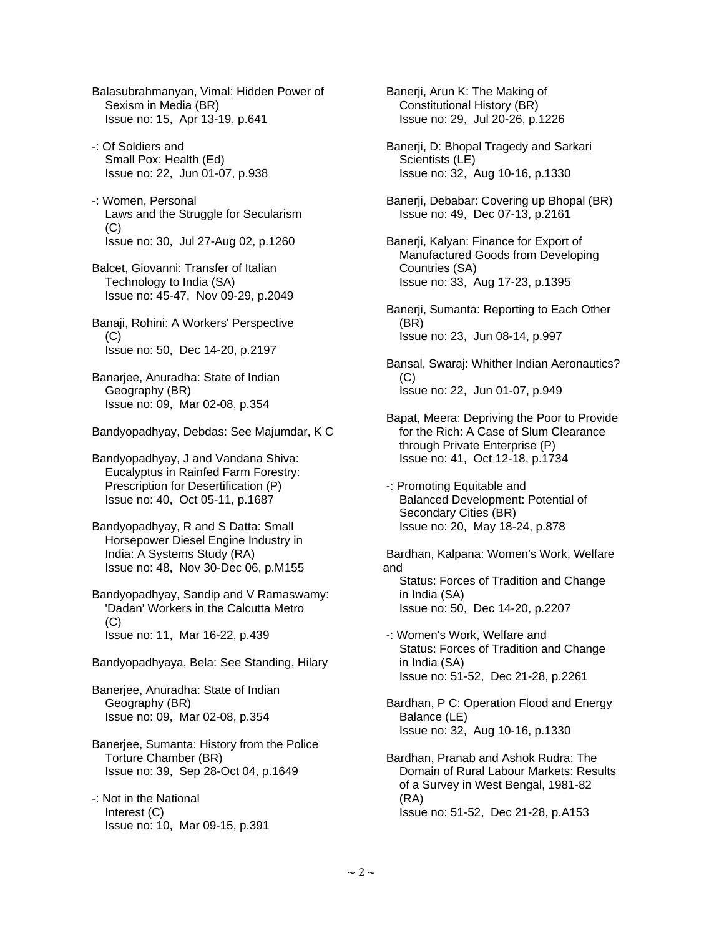- Balasubrahmanyan, Vimal: Hidden Power of Sexism in Media (BR) Issue no: 15, Apr 13-19, p.641
- -: Of Soldiers and Small Pox: Health (Ed) Issue no: 22, Jun 01-07, p.938
- -: Women, Personal Laws and the Struggle for Secularism (C) Issue no: 30, Jul 27-Aug 02, p.1260
- Balcet, Giovanni: Transfer of Italian Technology to India (SA) Issue no: 45-47, Nov 09-29, p.2049
- Banaji, Rohini: A Workers' Perspective  $(C)$ Issue no: 50, Dec 14-20, p.2197
- Banarjee, Anuradha: State of Indian Geography (BR) Issue no: 09, Mar 02-08, p.354
- Bandyopadhyay, Debdas: See Majumdar, K C

 Bandyopadhyay, J and Vandana Shiva: Eucalyptus in Rainfed Farm Forestry: Prescription for Desertification (P) Issue no: 40, Oct 05-11, p.1687

 Bandyopadhyay, R and S Datta: Small Horsepower Diesel Engine Industry in India: A Systems Study (RA) Issue no: 48, Nov 30-Dec 06, p.M155

 Bandyopadhyay, Sandip and V Ramaswamy: 'Dadan' Workers in the Calcutta Metro (C) Issue no: 11, Mar 16-22, p.439

- Bandyopadhyaya, Bela: See Standing, Hilary
- Banerjee, Anuradha: State of Indian Geography (BR) Issue no: 09, Mar 02-08, p.354
- Banerjee, Sumanta: History from the Police Torture Chamber (BR) Issue no: 39, Sep 28-Oct 04, p.1649
- -: Not in the National Interest (C) Issue no: 10, Mar 09-15, p.391

 Banerji, Arun K: The Making of Constitutional History (BR) Issue no: 29, Jul 20-26, p.1226

- Banerji, D: Bhopal Tragedy and Sarkari Scientists (LE) Issue no: 32, Aug 10-16, p.1330
- Banerji, Debabar: Covering up Bhopal (BR) Issue no: 49, Dec 07-13, p.2161
- Banerji, Kalyan: Finance for Export of Manufactured Goods from Developing Countries (SA) Issue no: 33, Aug 17-23, p.1395
- Banerji, Sumanta: Reporting to Each Other (BR) Issue no: 23, Jun 08-14, p.997
- Bansal, Swaraj: Whither Indian Aeronautics?  $(C)$ Issue no: 22, Jun 01-07, p.949
- Bapat, Meera: Depriving the Poor to Provide for the Rich: A Case of Slum Clearance through Private Enterprise (P) Issue no: 41, Oct 12-18, p.1734
- -: Promoting Equitable and Balanced Development: Potential of Secondary Cities (BR) Issue no: 20, May 18-24, p.878

 Bardhan, Kalpana: Women's Work, Welfare and Status: Forces of Tradition and Change in India (SA) Issue no: 50, Dec 14-20, p.2207

- -: Women's Work, Welfare and Status: Forces of Tradition and Change in India (SA) Issue no: 51-52, Dec 21-28, p.2261
- Bardhan, P C: Operation Flood and Energy Balance (LE) Issue no: 32, Aug 10-16, p.1330
- Bardhan, Pranab and Ashok Rudra: The Domain of Rural Labour Markets: Results of a Survey in West Bengal, 1981-82 (RA) Issue no: 51-52, Dec 21-28, p.A153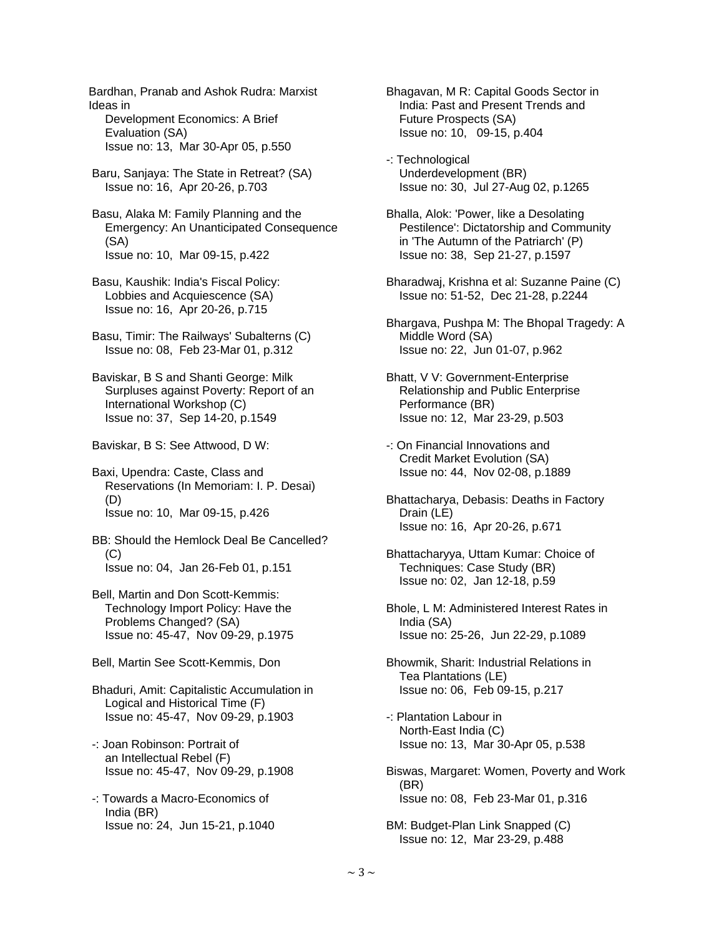Ideas in Development Economics: A Brief Evaluation (SA) Issue no: 13, Mar 30-Apr 05, p.550 Baru, Sanjaya: The State in Retreat? (SA) Issue no: 16, Apr 20-26, p.703 Basu, Alaka M: Family Planning and the Emergency: An Unanticipated Consequence (SA) Issue no: 10, Mar 09-15, p.422 Basu, Kaushik: India's Fiscal Policy: Lobbies and Acquiescence (SA) Issue no: 16, Apr 20-26, p.715 Basu, Timir: The Railways' Subalterns (C) Issue no: 08, Feb 23-Mar 01, p.312 Baviskar, B S and Shanti George: Milk Surpluses against Poverty: Report of an International Workshop (C) Issue no: 37, Sep 14-20, p.1549 Baviskar, B S: See Attwood, D W: Baxi, Upendra: Caste, Class and Reservations (In Memoriam: I. P. Desai) (D) Issue no: 10, Mar 09-15, p.426 BB: Should the Hemlock Deal Be Cancelled?  $(C)$  Issue no: 04, Jan 26-Feb 01, p.151 Bell, Martin and Don Scott-Kemmis: Technology Import Policy: Have the Problems Changed? (SA) Issue no: 45-47, Nov 09-29, p.1975 Bell, Martin See Scott-Kemmis, Don Bhaduri, Amit: Capitalistic Accumulation in Logical and Historical Time (F) Issue no: 45-47, Nov 09-29, p.1903 -: Joan Robinson: Portrait of an Intellectual Rebel (F) Issue no: 45-47, Nov 09-29, p.1908 -: Towards a Macro-Economics of India (BR) Issue no: 24, Jun 15-21, p.1040

Bardhan, Pranab and Ashok Rudra: Marxist

 Bhagavan, M R: Capital Goods Sector in India: Past and Present Trends and Future Prospects (SA) Issue no: 10, 09-15, p.404

 -: Technological Underdevelopment (BR) Issue no: 30, Jul 27-Aug 02, p.1265

 Bhalla, Alok: 'Power, like a Desolating Pestilence': Dictatorship and Community in 'The Autumn of the Patriarch' (P) Issue no: 38, Sep 21-27, p.1597

 Bharadwaj, Krishna et al: Suzanne Paine (C) Issue no: 51-52, Dec 21-28, p.2244

 Bhargava, Pushpa M: The Bhopal Tragedy: A Middle Word (SA) Issue no: 22, Jun 01-07, p.962

 Bhatt, V V: Government-Enterprise Relationship and Public Enterprise Performance (BR) Issue no: 12, Mar 23-29, p.503

 -: On Financial Innovations and Credit Market Evolution (SA) Issue no: 44, Nov 02-08, p.1889

 Bhattacharya, Debasis: Deaths in Factory Drain (LE) Issue no: 16, Apr 20-26, p.671

 Bhattacharyya, Uttam Kumar: Choice of Techniques: Case Study (BR) Issue no: 02, Jan 12-18, p.59

 Bhole, L M: Administered Interest Rates in India (SA) Issue no: 25-26, Jun 22-29, p.1089

 Bhowmik, Sharit: Industrial Relations in Tea Plantations (LE) Issue no: 06, Feb 09-15, p.217

 -: Plantation Labour in North-East India (C) Issue no: 13, Mar 30-Apr 05, p.538

 Biswas, Margaret: Women, Poverty and Work (BR) Issue no: 08, Feb 23-Mar 01, p.316

 BM: Budget-Plan Link Snapped (C) Issue no: 12, Mar 23-29, p.488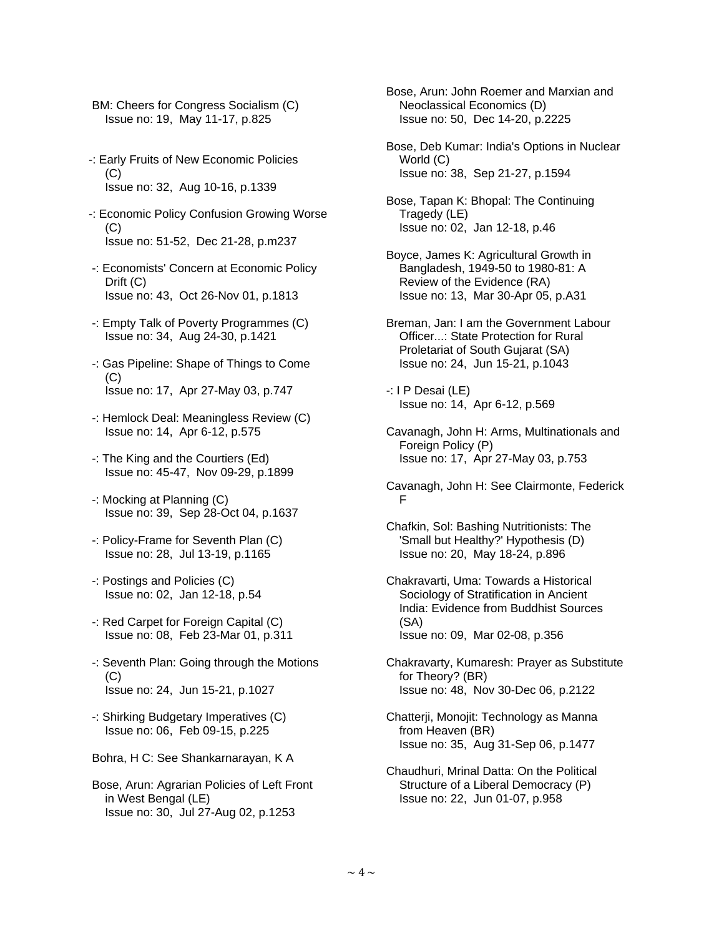BM: Cheers for Congress Socialism (C) Issue no: 19, May 11-17, p.825

- -: Early Fruits of New Economic Policies  $(C)$ Issue no: 32, Aug 10-16, p.1339
- -: Economic Policy Confusion Growing Worse (C) Issue no: 51-52, Dec 21-28, p.m237
- -: Economists' Concern at Economic Policy Drift (C) Issue no: 43, Oct 26-Nov 01, p.1813
- -: Empty Talk of Poverty Programmes (C) Issue no: 34, Aug 24-30, p.1421
- -: Gas Pipeline: Shape of Things to Come  $(C)$ Issue no: 17, Apr 27-May 03, p.747
- -: Hemlock Deal: Meaningless Review (C) Issue no: 14, Apr 6-12, p.575
- -: The King and the Courtiers (Ed) Issue no: 45-47, Nov 09-29, p.1899
- -: Mocking at Planning (C) Issue no: 39, Sep 28-Oct 04, p.1637
- -: Policy-Frame for Seventh Plan (C) Issue no: 28, Jul 13-19, p.1165
- -: Postings and Policies (C) Issue no: 02, Jan 12-18, p.54
- -: Red Carpet for Foreign Capital (C) Issue no: 08, Feb 23-Mar 01, p.311
- -: Seventh Plan: Going through the Motions (C) Issue no: 24, Jun 15-21, p.1027
- -: Shirking Budgetary Imperatives (C) Issue no: 06, Feb 09-15, p.225
- Bohra, H C: See Shankarnarayan, K A
- Bose, Arun: Agrarian Policies of Left Front in West Bengal (LE) Issue no: 30, Jul 27-Aug 02, p.1253

 Bose, Arun: John Roemer and Marxian and Neoclassical Economics (D) Issue no: 50, Dec 14-20, p.2225

 Bose, Deb Kumar: India's Options in Nuclear World (C) Issue no: 38, Sep 21-27, p.1594

 Bose, Tapan K: Bhopal: The Continuing Tragedy (LE) Issue no: 02, Jan 12-18, p.46

- Boyce, James K: Agricultural Growth in Bangladesh, 1949-50 to 1980-81: A Review of the Evidence (RA) Issue no: 13, Mar 30-Apr 05, p.A31
- Breman, Jan: I am the Government Labour Officer...: State Protection for Rural Proletariat of South Gujarat (SA) Issue no: 24, Jun 15-21, p.1043

 -: I P Desai (LE) Issue no: 14, Apr 6-12, p.569

- Cavanagh, John H: Arms, Multinationals and Foreign Policy (P) Issue no: 17, Apr 27-May 03, p.753
- Cavanagh, John H: See Clairmonte, Federick F
- Chafkin, Sol: Bashing Nutritionists: The 'Small but Healthy?' Hypothesis (D) Issue no: 20, May 18-24, p.896
- Chakravarti, Uma: Towards a Historical Sociology of Stratification in Ancient India: Evidence from Buddhist Sources (SA) Issue no: 09, Mar 02-08, p.356
- Chakravarty, Kumaresh: Prayer as Substitute for Theory? (BR) Issue no: 48, Nov 30-Dec 06, p.2122
- Chatterji, Monojit: Technology as Manna from Heaven (BR) Issue no: 35, Aug 31-Sep 06, p.1477
- Chaudhuri, Mrinal Datta: On the Political Structure of a Liberal Democracy (P) Issue no: 22, Jun 01-07, p.958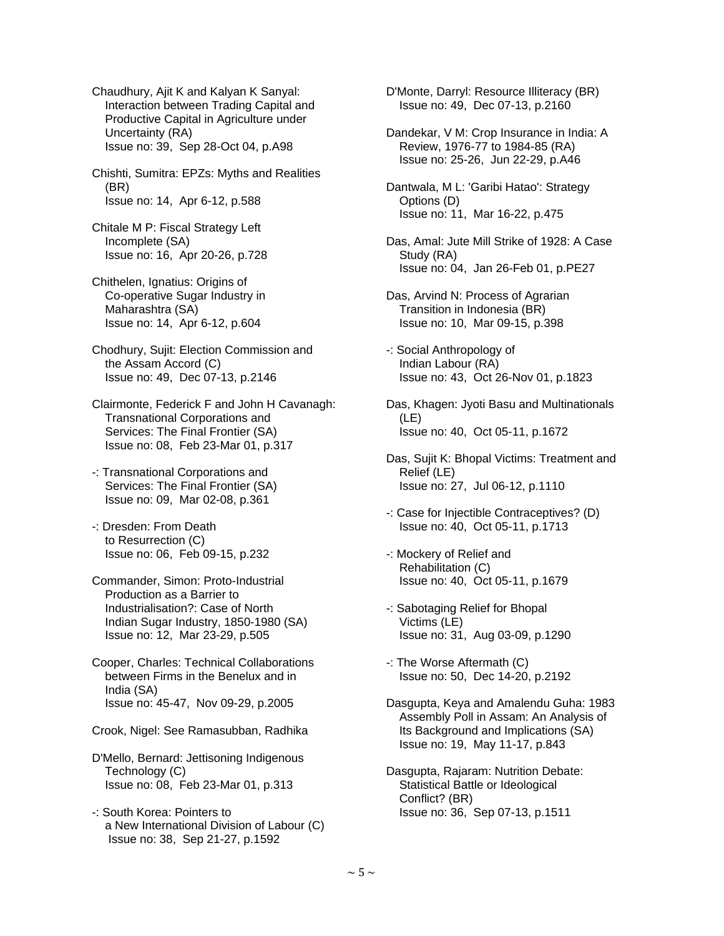Chaudhury, Ajit K and Kalyan K Sanyal: Interaction between Trading Capital and Productive Capital in Agriculture under Uncertainty (RA) Issue no: 39, Sep 28-Oct 04, p.A98

 Chishti, Sumitra: EPZs: Myths and Realities (BR) Issue no: 14, Apr 6-12, p.588

 Chitale M P: Fiscal Strategy Left Incomplete (SA) Issue no: 16, Apr 20-26, p.728

 Chithelen, Ignatius: Origins of Co-operative Sugar Industry in Maharashtra (SA) Issue no: 14, Apr 6-12, p.604

 Chodhury, Sujit: Election Commission and the Assam Accord (C) Issue no: 49, Dec 07-13, p.2146

 Clairmonte, Federick F and John H Cavanagh: Transnational Corporations and Services: The Final Frontier (SA) Issue no: 08, Feb 23-Mar 01, p.317

 -: Transnational Corporations and Services: The Final Frontier (SA) Issue no: 09, Mar 02-08, p.361

 -: Dresden: From Death to Resurrection (C) Issue no: 06, Feb 09-15, p.232

 Commander, Simon: Proto-Industrial Production as a Barrier to Industrialisation?: Case of North Indian Sugar Industry, 1850-1980 (SA) Issue no: 12, Mar 23-29, p.505

 Cooper, Charles: Technical Collaborations between Firms in the Benelux and in India (SA) Issue no: 45-47, Nov 09-29, p.2005

Crook, Nigel: See Ramasubban, Radhika

 D'Mello, Bernard: Jettisoning Indigenous Technology (C) Issue no: 08, Feb 23-Mar 01, p.313

 -: South Korea: Pointers to a New International Division of Labour (C) Issue no: 38, Sep 21-27, p.1592

 D'Monte, Darryl: Resource Illiteracy (BR) Issue no: 49, Dec 07-13, p.2160

 Dandekar, V M: Crop Insurance in India: A Review, 1976-77 to 1984-85 (RA) Issue no: 25-26, Jun 22-29, p.A46

 Dantwala, M L: 'Garibi Hatao': Strategy Options (D) Issue no: 11, Mar 16-22, p.475

 Das, Amal: Jute Mill Strike of 1928: A Case Study (RA) Issue no: 04, Jan 26-Feb 01, p.PE27

 Das, Arvind N: Process of Agrarian Transition in Indonesia (BR) Issue no: 10, Mar 09-15, p.398

 -: Social Anthropology of Indian Labour (RA) Issue no: 43, Oct 26-Nov 01, p.1823

 Das, Khagen: Jyoti Basu and Multinationals (LE) Issue no: 40, Oct 05-11, p.1672

 Das, Sujit K: Bhopal Victims: Treatment and Relief (LE) Issue no: 27, Jul 06-12, p.1110

 -: Case for Injectible Contraceptives? (D) Issue no: 40, Oct 05-11, p.1713

 -: Mockery of Relief and Rehabilitation (C) Issue no: 40, Oct 05-11, p.1679

 -: Sabotaging Relief for Bhopal Victims (LE) Issue no: 31, Aug 03-09, p.1290

 -: The Worse Aftermath (C) Issue no: 50, Dec 14-20, p.2192

 Dasgupta, Keya and Amalendu Guha: 1983 Assembly Poll in Assam: An Analysis of Its Background and Implications (SA) Issue no: 19, May 11-17, p.843

 Dasgupta, Rajaram: Nutrition Debate: Statistical Battle or Ideological Conflict? (BR) Issue no: 36, Sep 07-13, p.1511

 $\sim$  5  $\sim$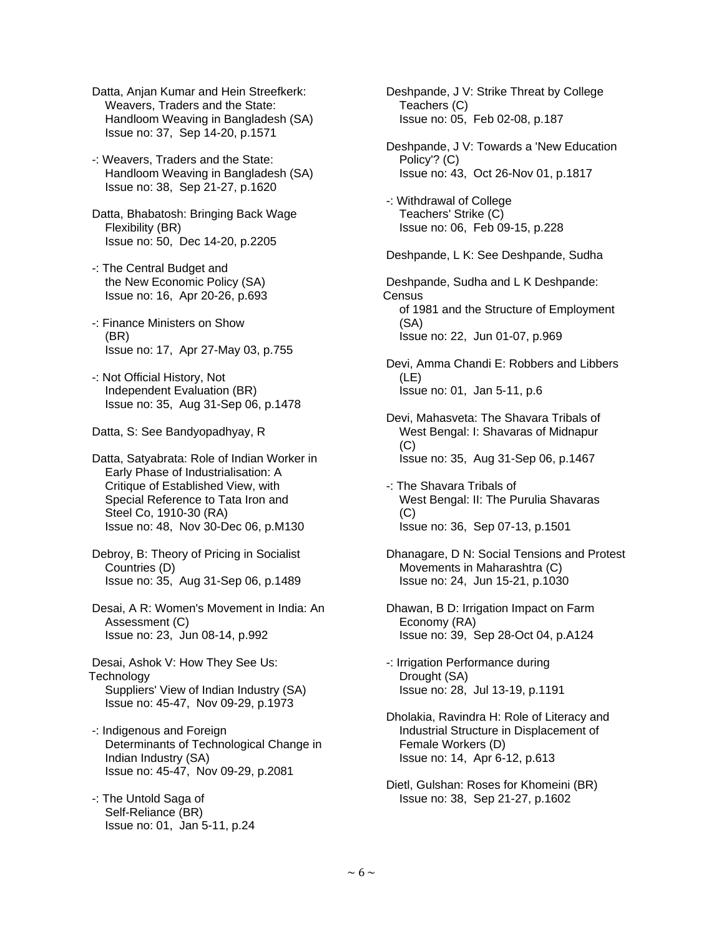- Datta, Anjan Kumar and Hein Streefkerk: Weavers, Traders and the State: Handloom Weaving in Bangladesh (SA) Issue no: 37, Sep 14-20, p.1571
- -: Weavers, Traders and the State: Handloom Weaving in Bangladesh (SA) Issue no: 38, Sep 21-27, p.1620
- Datta, Bhabatosh: Bringing Back Wage Flexibility (BR) Issue no: 50, Dec 14-20, p.2205
- -: The Central Budget and the New Economic Policy (SA) Issue no: 16, Apr 20-26, p.693
- -: Finance Ministers on Show (BR) Issue no: 17, Apr 27-May 03, p.755
- -: Not Official History, Not Independent Evaluation (BR) Issue no: 35, Aug 31-Sep 06, p.1478

Datta, S: See Bandyopadhyay, R

 Datta, Satyabrata: Role of Indian Worker in Early Phase of Industrialisation: A Critique of Established View, with Special Reference to Tata Iron and Steel Co, 1910-30 (RA) Issue no: 48, Nov 30-Dec 06, p.M130

- Debroy, B: Theory of Pricing in Socialist Countries (D) Issue no: 35, Aug 31-Sep 06, p.1489
- Desai, A R: Women's Movement in India: An Assessment (C) Issue no: 23, Jun 08-14, p.992
- Desai, Ashok V: How They See Us: **Technology**  Suppliers' View of Indian Industry (SA) Issue no: 45-47, Nov 09-29, p.1973
- -: Indigenous and Foreign Determinants of Technological Change in Indian Industry (SA) Issue no: 45-47, Nov 09-29, p.2081
- -: The Untold Saga of Self-Reliance (BR) Issue no: 01, Jan 5-11, p.24
- Deshpande, J V: Strike Threat by College Teachers (C) Issue no: 05, Feb 02-08, p.187
- Deshpande, J V: Towards a 'New Education Policy'? (C) Issue no: 43, Oct 26-Nov 01, p.1817
- -: Withdrawal of College Teachers' Strike (C) Issue no: 06, Feb 09-15, p.228

Deshpande, L K: See Deshpande, Sudha

 Deshpande, Sudha and L K Deshpande: **Census**  of 1981 and the Structure of Employment (SA) Issue no: 22, Jun 01-07, p.969

 Devi, Amma Chandi E: Robbers and Libbers (LE) Issue no: 01, Jan 5-11, p.6

- Devi, Mahasveta: The Shavara Tribals of West Bengal: I: Shavaras of Midnapur (C) Issue no: 35, Aug 31-Sep 06, p.1467
- -: The Shavara Tribals of West Bengal: II: The Purulia Shavaras (C) Issue no: 36, Sep 07-13, p.1501
- Dhanagare, D N: Social Tensions and Protest Movements in Maharashtra (C) Issue no: 24, Jun 15-21, p.1030
- Dhawan, B D: Irrigation Impact on Farm Economy (RA) Issue no: 39, Sep 28-Oct 04, p.A124
- -: Irrigation Performance during Drought (SA) Issue no: 28, Jul 13-19, p.1191
- Dholakia, Ravindra H: Role of Literacy and Industrial Structure in Displacement of Female Workers (D) Issue no: 14, Apr 6-12, p.613
- Dietl, Gulshan: Roses for Khomeini (BR) Issue no: 38, Sep 21-27, p.1602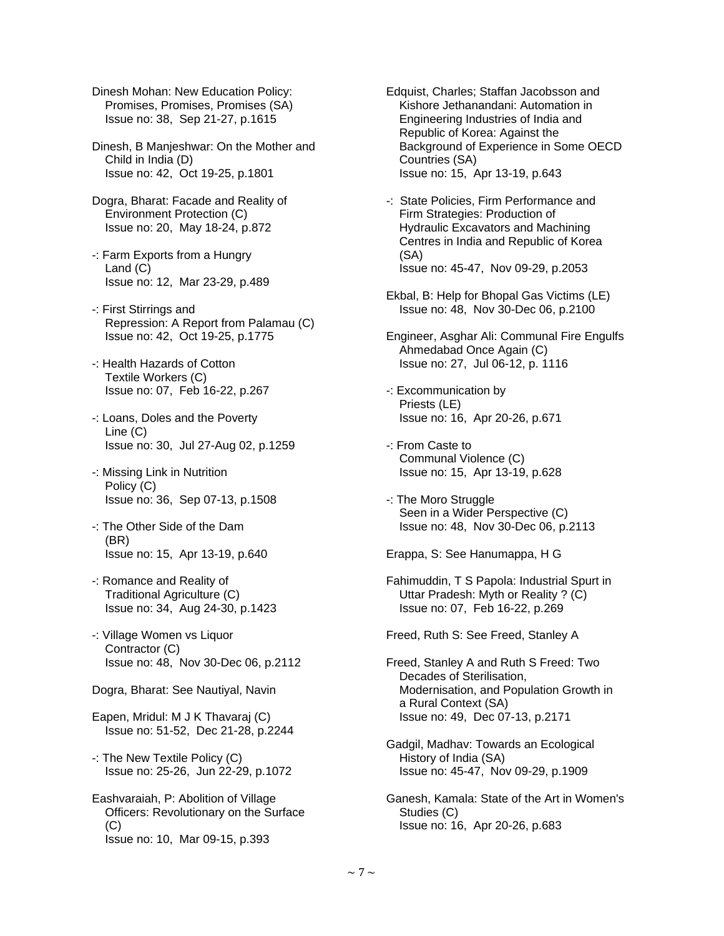Dinesh Mohan: New Education Policy: Promises, Promises, Promises (SA) Issue no: 38, Sep 21-27, p.1615

 Dinesh, B Manjeshwar: On the Mother and Child in India (D) Issue no: 42, Oct 19-25, p.1801

- Dogra, Bharat: Facade and Reality of Environment Protection (C) Issue no: 20, May 18-24, p.872
- -: Farm Exports from a Hungry Land (C) Issue no: 12, Mar 23-29, p.489
- -: First Stirrings and Repression: A Report from Palamau (C) Issue no: 42, Oct 19-25, p.1775
- -: Health Hazards of Cotton Textile Workers (C) Issue no: 07, Feb 16-22, p.267
- -: Loans, Doles and the Poverty Line (C) Issue no: 30, Jul 27-Aug 02, p.1259
- -: Missing Link in Nutrition Policy (C) Issue no: 36, Sep 07-13, p.1508
- -: The Other Side of the Dam (BR) Issue no: 15, Apr 13-19, p.640
- -: Romance and Reality of Traditional Agriculture (C) Issue no: 34, Aug 24-30, p.1423
- -: Village Women vs Liquor Contractor (C) Issue no: 48, Nov 30-Dec 06, p.2112
- Dogra, Bharat: See Nautiyal, Navin
- Eapen, Mridul: M J K Thavaraj (C) Issue no: 51-52, Dec 21-28, p.2244
- -: The New Textile Policy (C) Issue no: 25-26, Jun 22-29, p.1072
- Eashvaraiah, P: Abolition of Village Officers: Revolutionary on the Surface (C) Issue no: 10, Mar 09-15, p.393
- Edquist, Charles; Staffan Jacobsson and Kishore Jethanandani: Automation in Engineering Industries of India and Republic of Korea: Against the Background of Experience in Some OECD Countries (SA) Issue no: 15, Apr 13-19, p.643
- -: State Policies, Firm Performance and Firm Strategies: Production of Hydraulic Excavators and Machining Centres in India and Republic of Korea (SA) Issue no: 45-47, Nov 09-29, p.2053
- Ekbal, B: Help for Bhopal Gas Victims (LE) Issue no: 48, Nov 30-Dec 06, p.2100
- Engineer, Asghar Ali: Communal Fire Engulfs Ahmedabad Once Again (C) Issue no: 27, Jul 06-12, p. 1116
- -: Excommunication by Priests (LE) Issue no: 16, Apr 20-26, p.671
- -: From Caste to Communal Violence (C) Issue no: 15, Apr 13-19, p.628
- -: The Moro Struggle Seen in a Wider Perspective (C) Issue no: 48, Nov 30-Dec 06, p.2113

Erappa, S: See Hanumappa, H G

 Fahimuddin, T S Papola: Industrial Spurt in Uttar Pradesh: Myth or Reality ? (C) Issue no: 07, Feb 16-22, p.269

Freed, Ruth S: See Freed, Stanley A

- Freed, Stanley A and Ruth S Freed: Two Decades of Sterilisation, Modernisation, and Population Growth in a Rural Context (SA) Issue no: 49, Dec 07-13, p.2171
- Gadgil, Madhav: Towards an Ecological History of India (SA) Issue no: 45-47, Nov 09-29, p.1909
- Ganesh, Kamala: State of the Art in Women's Studies (C) Issue no: 16, Apr 20-26, p.683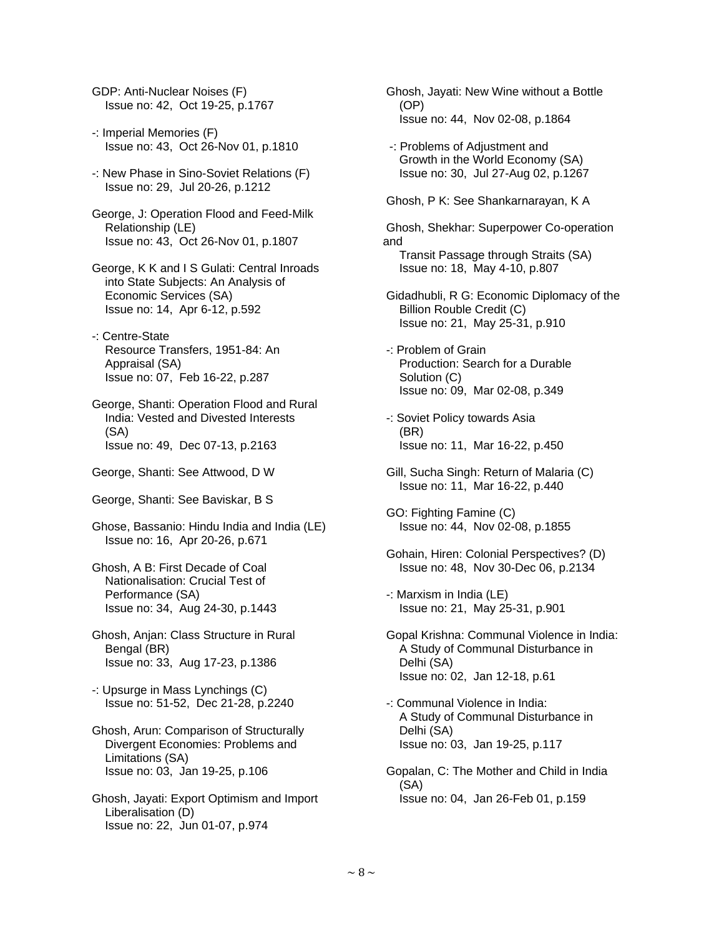GDP: Anti-Nuclear Noises (F) Issue no: 42, Oct 19-25, p.1767

- -: Imperial Memories (F) Issue no: 43, Oct 26-Nov 01, p.1810
- -: New Phase in Sino-Soviet Relations (F) Issue no: 29, Jul 20-26, p.1212
- George, J: Operation Flood and Feed-Milk Relationship (LE) Issue no: 43, Oct 26-Nov 01, p.1807
- George, K K and I S Gulati: Central Inroads into State Subjects: An Analysis of Economic Services (SA) Issue no: 14, Apr 6-12, p.592
- -: Centre-State Resource Transfers, 1951-84: An Appraisal (SA) Issue no: 07, Feb 16-22, p.287
- George, Shanti: Operation Flood and Rural India: Vested and Divested Interests (SA) Issue no: 49, Dec 07-13, p.2163
- George, Shanti: See Attwood, D W
- George, Shanti: See Baviskar, B S
- Ghose, Bassanio: Hindu India and India (LE) Issue no: 16, Apr 20-26, p.671
- Ghosh, A B: First Decade of Coal Nationalisation: Crucial Test of Performance (SA) Issue no: 34, Aug 24-30, p.1443
- Ghosh, Anjan: Class Structure in Rural Bengal (BR) Issue no: 33, Aug 17-23, p.1386
- -: Upsurge in Mass Lynchings (C) Issue no: 51-52, Dec 21-28, p.2240
- Ghosh, Arun: Comparison of Structurally Divergent Economies: Problems and Limitations (SA) Issue no: 03, Jan 19-25, p.106
- Ghosh, Jayati: Export Optimism and Import Liberalisation (D) Issue no: 22, Jun 01-07, p.974
- Ghosh, Jayati: New Wine without a Bottle (OP) Issue no: 44, Nov 02-08, p.1864
- -: Problems of Adjustment and Growth in the World Economy (SA) Issue no: 30, Jul 27-Aug 02, p.1267
- Ghosh, P K: See Shankarnarayan, K A

 Ghosh, Shekhar: Superpower Co-operation and Transit Passage through Straits (SA) Issue no: 18, May 4-10, p.807

- Gidadhubli, R G: Economic Diplomacy of the Billion Rouble Credit (C) Issue no: 21, May 25-31, p.910
- -: Problem of Grain Production: Search for a Durable Solution (C) Issue no: 09, Mar 02-08, p.349
- -: Soviet Policy towards Asia (BR) Issue no: 11, Mar 16-22, p.450
- Gill, Sucha Singh: Return of Malaria (C) Issue no: 11, Mar 16-22, p.440
- GO: Fighting Famine (C) Issue no: 44, Nov 02-08, p.1855
- Gohain, Hiren: Colonial Perspectives? (D) Issue no: 48, Nov 30-Dec 06, p.2134
- -: Marxism in India (LE) Issue no: 21, May 25-31, p.901
- Gopal Krishna: Communal Violence in India: A Study of Communal Disturbance in Delhi (SA) Issue no: 02, Jan 12-18, p.61
- -: Communal Violence in India: A Study of Communal Disturbance in Delhi (SA) Issue no: 03, Jan 19-25, p.117
- Gopalan, C: The Mother and Child in India (SA) Issue no: 04, Jan 26-Feb 01, p.159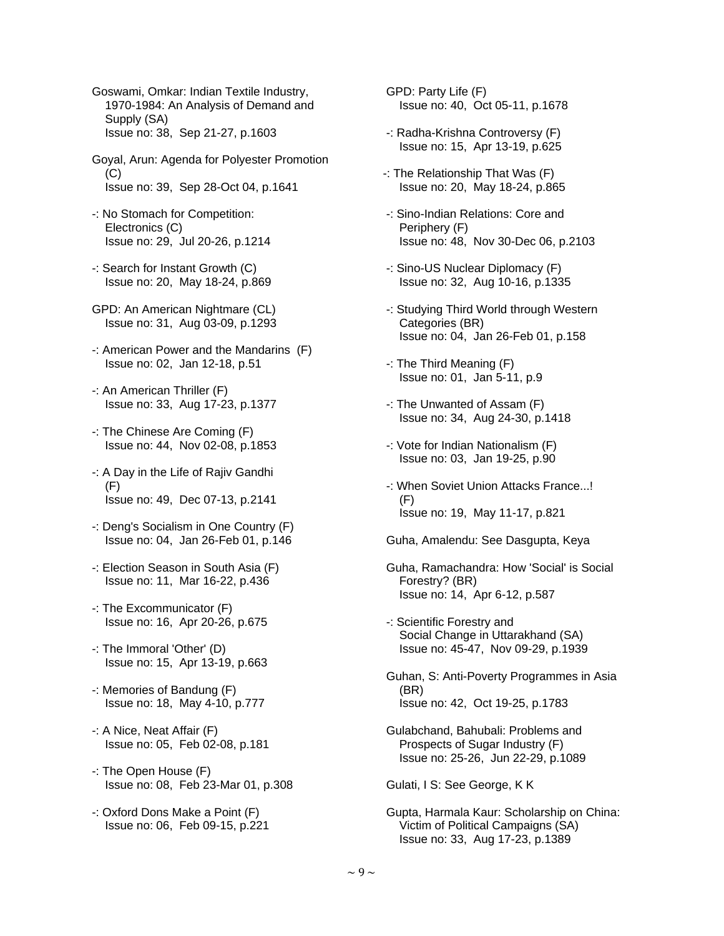Goswami, Omkar: Indian Textile Industry, 1970-1984: An Analysis of Demand and Supply (SA) Issue no: 38, Sep 21-27, p.1603

- Goyal, Arun: Agenda for Polyester Promotion (C) Issue no: 39, Sep 28-Oct 04, p.1641
- -: No Stomach for Competition: Electronics (C) Issue no: 29, Jul 20-26, p.1214
- -: Search for Instant Growth (C) Issue no: 20, May 18-24, p.869
- GPD: An American Nightmare (CL) Issue no: 31, Aug 03-09, p.1293
- -: American Power and the Mandarins (F) Issue no: 02, Jan 12-18, p.51
- -: An American Thriller (F) Issue no: 33, Aug 17-23, p.1377
- -: The Chinese Are Coming (F) Issue no: 44, Nov 02-08, p.1853
- -: A Day in the Life of Rajiv Gandhi (F) Issue no: 49, Dec 07-13, p.2141
- -: Deng's Socialism in One Country (F) Issue no: 04, Jan 26-Feb 01, p.146
- -: Election Season in South Asia (F) Issue no: 11, Mar 16-22, p.436
- -: The Excommunicator (F) Issue no: 16, Apr 20-26, p.675
- -: The Immoral 'Other' (D) Issue no: 15, Apr 13-19, p.663
- -: Memories of Bandung (F) Issue no: 18, May 4-10, p.777
- -: A Nice, Neat Affair (F) Issue no: 05, Feb 02-08, p.181
- -: The Open House (F) Issue no: 08, Feb 23-Mar 01, p.308
- -: Oxford Dons Make a Point (F) Issue no: 06, Feb 09-15, p.221
- GPD: Party Life (F) Issue no: 40, Oct 05-11, p.1678
- -: Radha-Krishna Controversy (F) Issue no: 15, Apr 13-19, p.625
- -: The Relationship That Was (F) Issue no: 20, May 18-24, p.865
- -: Sino-Indian Relations: Core and Periphery (F) Issue no: 48, Nov 30-Dec 06, p.2103
- -: Sino-US Nuclear Diplomacy (F) Issue no: 32, Aug 10-16, p.1335
- -: Studying Third World through Western Categories (BR) Issue no: 04, Jan 26-Feb 01, p.158
- -: The Third Meaning (F) Issue no: 01, Jan 5-11, p.9
- -: The Unwanted of Assam (F) Issue no: 34, Aug 24-30, p.1418
- -: Vote for Indian Nationalism (F) Issue no: 03, Jan 19-25, p.90
- -: When Soviet Union Attacks France...!  $(F)$ Issue no: 19, May 11-17, p.821
- Guha, Amalendu: See Dasgupta, Keya
- Guha, Ramachandra: How 'Social' is Social Forestry? (BR) Issue no: 14, Apr 6-12, p.587
- -: Scientific Forestry and Social Change in Uttarakhand (SA) Issue no: 45-47, Nov 09-29, p.1939
- Guhan, S: Anti-Poverty Programmes in Asia (BR) Issue no: 42, Oct 19-25, p.1783
- Gulabchand, Bahubali: Problems and Prospects of Sugar Industry (F) Issue no: 25-26, Jun 22-29, p.1089

Gulati, I S: See George, K K

 Gupta, Harmala Kaur: Scholarship on China: Victim of Political Campaigns (SA) Issue no: 33, Aug 17-23, p.1389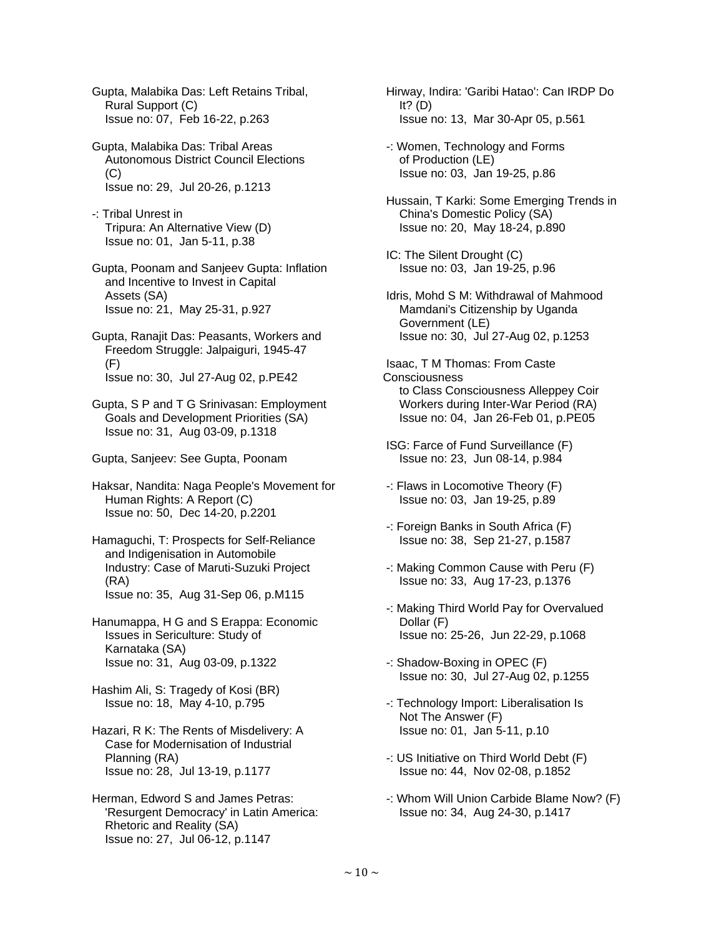Gupta, Malabika Das: Left Retains Tribal, Rural Support (C) Issue no: 07, Feb 16-22, p.263

 Gupta, Malabika Das: Tribal Areas Autonomous District Council Elections  $(C)$ Issue no: 29, Jul 20-26, p.1213

 -: Tribal Unrest in Tripura: An Alternative View (D) Issue no: 01, Jan 5-11, p.38

 Gupta, Poonam and Sanjeev Gupta: Inflation and Incentive to Invest in Capital Assets (SA) Issue no: 21, May 25-31, p.927

 Gupta, Ranajit Das: Peasants, Workers and Freedom Struggle: Jalpaiguri, 1945-47 (F) Issue no: 30, Jul 27-Aug 02, p.PE42

 Gupta, S P and T G Srinivasan: Employment Goals and Development Priorities (SA) Issue no: 31, Aug 03-09, p.1318

Gupta, Sanjeev: See Gupta, Poonam

 Haksar, Nandita: Naga People's Movement for Human Rights: A Report (C) Issue no: 50, Dec 14-20, p.2201

 Hamaguchi, T: Prospects for Self-Reliance and Indigenisation in Automobile Industry: Case of Maruti-Suzuki Project (RA) Issue no: 35, Aug 31-Sep 06, p.M115

 Hanumappa, H G and S Erappa: Economic Issues in Sericulture: Study of Karnataka (SA) Issue no: 31, Aug 03-09, p.1322

 Hashim Ali, S: Tragedy of Kosi (BR) Issue no: 18, May 4-10, p.795

 Hazari, R K: The Rents of Misdelivery: A Case for Modernisation of Industrial Planning (RA) Issue no: 28, Jul 13-19, p.1177

 Herman, Edword S and James Petras: 'Resurgent Democracy' in Latin America: Rhetoric and Reality (SA) Issue no: 27, Jul 06-12, p.1147

 Hirway, Indira: 'Garibi Hatao': Can IRDP Do It?  $(D)$ Issue no: 13, Mar 30-Apr 05, p.561

 -: Women, Technology and Forms of Production (LE) Issue no: 03, Jan 19-25, p.86

 Hussain, T Karki: Some Emerging Trends in China's Domestic Policy (SA) Issue no: 20, May 18-24, p.890

 IC: The Silent Drought (C) Issue no: 03, Jan 19-25, p.96

 Idris, Mohd S M: Withdrawal of Mahmood Mamdani's Citizenship by Uganda Government (LE) Issue no: 30, Jul 27-Aug 02, p.1253

 Isaac, T M Thomas: From Caste **Consciousness**  to Class Consciousness Alleppey Coir Workers during Inter-War Period (RA) Issue no: 04, Jan 26-Feb 01, p.PE05

 ISG: Farce of Fund Surveillance (F) Issue no: 23, Jun 08-14, p.984

 -: Flaws in Locomotive Theory (F) Issue no: 03, Jan 19-25, p.89

 -: Foreign Banks in South Africa (F) Issue no: 38, Sep 21-27, p.1587

 -: Making Common Cause with Peru (F) Issue no: 33, Aug 17-23, p.1376

 -: Making Third World Pay for Overvalued Dollar (F) Issue no: 25-26, Jun 22-29, p.1068

 -: Shadow-Boxing in OPEC (F) Issue no: 30, Jul 27-Aug 02, p.1255

 -: Technology Import: Liberalisation Is Not The Answer (F) Issue no: 01, Jan 5-11, p.10

 -: US Initiative on Third World Debt (F) Issue no: 44, Nov 02-08, p.1852

 -: Whom Will Union Carbide Blame Now? (F) Issue no: 34, Aug 24-30, p.1417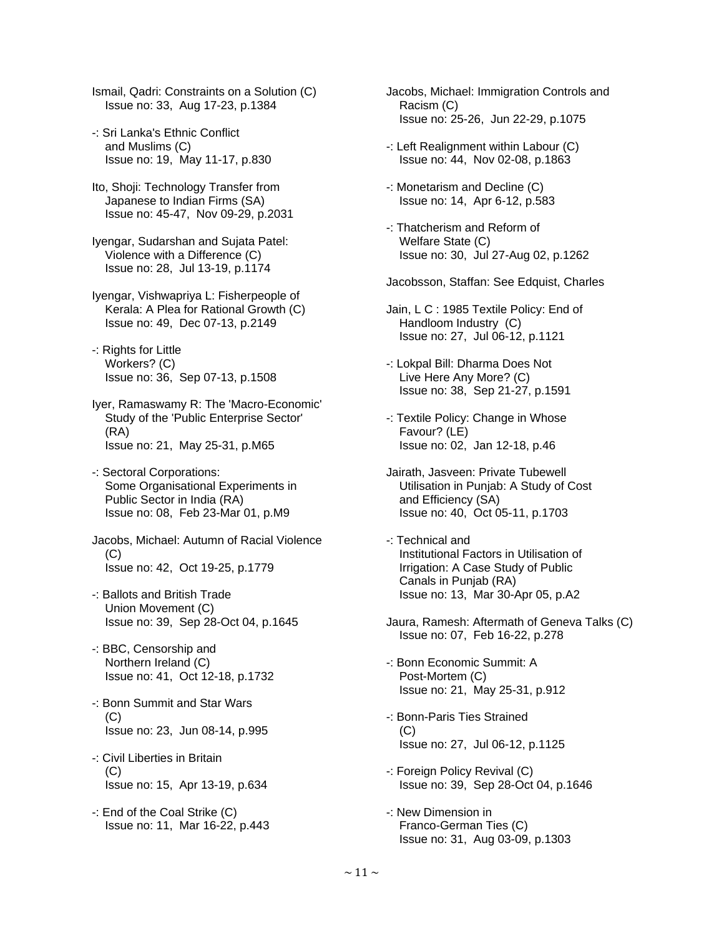Ismail, Qadri: Constraints on a Solution (C) Issue no: 33, Aug 17-23, p.1384

- -: Sri Lanka's Ethnic Conflict and Muslims (C) Issue no: 19, May 11-17, p.830
- Ito, Shoji: Technology Transfer from Japanese to Indian Firms (SA) Issue no: 45-47, Nov 09-29, p.2031
- Iyengar, Sudarshan and Sujata Patel: Violence with a Difference (C) Issue no: 28, Jul 13-19, p.1174
- Iyengar, Vishwapriya L: Fisherpeople of Kerala: A Plea for Rational Growth (C) Issue no: 49, Dec 07-13, p.2149
- -: Rights for Little Workers? (C) Issue no: 36, Sep 07-13, p.1508
- Iyer, Ramaswamy R: The 'Macro-Economic' Study of the 'Public Enterprise Sector' (RA) Issue no: 21, May 25-31, p.M65
- -: Sectoral Corporations: Some Organisational Experiments in Public Sector in India (RA) Issue no: 08, Feb 23-Mar 01, p.M9
- Jacobs, Michael: Autumn of Racial Violence  $(C)$ Issue no: 42, Oct 19-25, p.1779
- -: Ballots and British Trade Union Movement (C) Issue no: 39, Sep 28-Oct 04, p.1645
- -: BBC, Censorship and Northern Ireland (C) Issue no: 41, Oct 12-18, p.1732
- -: Bonn Summit and Star Wars (C) Issue no: 23, Jun 08-14, p.995
- -: Civil Liberties in Britain (C) Issue no: 15, Apr 13-19, p.634
- -: End of the Coal Strike (C) Issue no: 11, Mar 16-22, p.443
- Jacobs, Michael: Immigration Controls and Racism (C) Issue no: 25-26, Jun 22-29, p.1075
- -: Left Realignment within Labour (C) Issue no: 44, Nov 02-08, p.1863
- -: Monetarism and Decline (C) Issue no: 14, Apr 6-12, p.583
- -: Thatcherism and Reform of Welfare State (C) Issue no: 30, Jul 27-Aug 02, p.1262
- Jacobsson, Staffan: See Edquist, Charles
- Jain, L C : 1985 Textile Policy: End of Handloom Industry (C) Issue no: 27, Jul 06-12, p.1121
- -: Lokpal Bill: Dharma Does Not Live Here Any More? (C) Issue no: 38, Sep 21-27, p.1591
- -: Textile Policy: Change in Whose Favour? (LE) Issue no: 02, Jan 12-18, p.46
- Jairath, Jasveen: Private Tubewell Utilisation in Punjab: A Study of Cost and Efficiency (SA) Issue no: 40, Oct 05-11, p.1703
- -: Technical and Institutional Factors in Utilisation of Irrigation: A Case Study of Public Canals in Punjab (RA) Issue no: 13, Mar 30-Apr 05, p.A2
- Jaura, Ramesh: Aftermath of Geneva Talks (C) Issue no: 07, Feb 16-22, p.278
- -: Bonn Economic Summit: A Post-Mortem (C) Issue no: 21, May 25-31, p.912
- -: Bonn-Paris Ties Strained  $(C)$ Issue no: 27, Jul 06-12, p.1125
- -: Foreign Policy Revival (C) Issue no: 39, Sep 28-Oct 04, p.1646
- -: New Dimension in Franco-German Ties (C) Issue no: 31, Aug 03-09, p.1303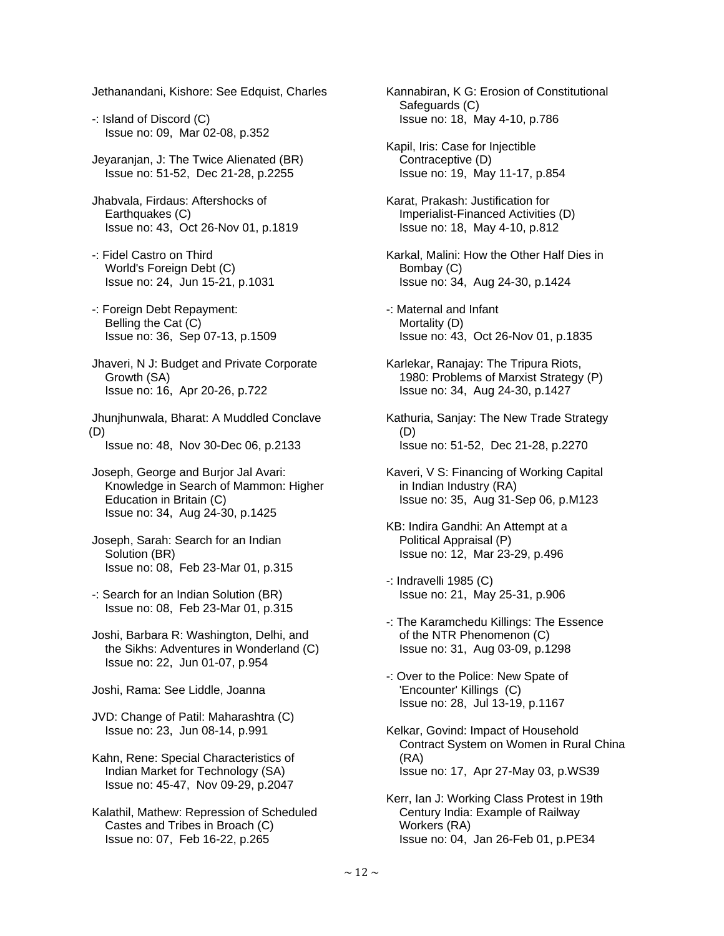Jethanandani, Kishore: See Edquist, Charles

- -: Island of Discord (C) Issue no: 09, Mar 02-08, p.352
- Jeyaranjan, J: The Twice Alienated (BR) Issue no: 51-52, Dec 21-28, p.2255
- Jhabvala, Firdaus: Aftershocks of Earthquakes (C) Issue no: 43, Oct 26-Nov 01, p.1819
- -: Fidel Castro on Third World's Foreign Debt (C) Issue no: 24, Jun 15-21, p.1031
- -: Foreign Debt Repayment: Belling the Cat (C) Issue no: 36, Sep 07-13, p.1509
- Jhaveri, N J: Budget and Private Corporate Growth (SA) Issue no: 16, Apr 20-26, p.722
- Jhunjhunwala, Bharat: A Muddled Conclave (D)
	- Issue no: 48, Nov 30-Dec 06, p.2133
- Joseph, George and Burjor Jal Avari: Knowledge in Search of Mammon: Higher Education in Britain (C) Issue no: 34, Aug 24-30, p.1425
- Joseph, Sarah: Search for an Indian Solution (BR) Issue no: 08, Feb 23-Mar 01, p.315
- -: Search for an Indian Solution (BR) Issue no: 08, Feb 23-Mar 01, p.315
- Joshi, Barbara R: Washington, Delhi, and the Sikhs: Adventures in Wonderland (C) Issue no: 22, Jun 01-07, p.954
- Joshi, Rama: See Liddle, Joanna
- JVD: Change of Patil: Maharashtra (C) Issue no: 23, Jun 08-14, p.991
- Kahn, Rene: Special Characteristics of Indian Market for Technology (SA) Issue no: 45-47, Nov 09-29, p.2047
- Kalathil, Mathew: Repression of Scheduled Castes and Tribes in Broach (C) Issue no: 07, Feb 16-22, p.265
- Kannabiran, K G: Erosion of Constitutional Safeguards (C) Issue no: 18, May 4-10, p.786
- Kapil, Iris: Case for Injectible Contraceptive (D) Issue no: 19, May 11-17, p.854
- Karat, Prakash: Justification for Imperialist-Financed Activities (D) Issue no: 18, May 4-10, p.812
- Karkal, Malini: How the Other Half Dies in Bombay (C) Issue no: 34, Aug 24-30, p.1424
- -: Maternal and Infant Mortality (D) Issue no: 43, Oct 26-Nov 01, p.1835
- Karlekar, Ranajay: The Tripura Riots, 1980: Problems of Marxist Strategy (P) Issue no: 34, Aug 24-30, p.1427
- Kathuria, Sanjay: The New Trade Strategy (D) Issue no: 51-52, Dec 21-28, p.2270
- Kaveri, V S: Financing of Working Capital in Indian Industry (RA) Issue no: 35, Aug 31-Sep 06, p.M123
- KB: Indira Gandhi: An Attempt at a Political Appraisal (P) Issue no: 12, Mar 23-29, p.496
- -: Indravelli 1985 (C) Issue no: 21, May 25-31, p.906
- -: The Karamchedu Killings: The Essence of the NTR Phenomenon (C) Issue no: 31, Aug 03-09, p.1298
- -: Over to the Police: New Spate of 'Encounter' Killings (C) Issue no: 28, Jul 13-19, p.1167
- Kelkar, Govind: Impact of Household Contract System on Women in Rural China (RA) Issue no: 17, Apr 27-May 03, p.WS39
- Kerr, Ian J: Working Class Protest in 19th Century India: Example of Railway Workers (RA) Issue no: 04, Jan 26-Feb 01, p.PE34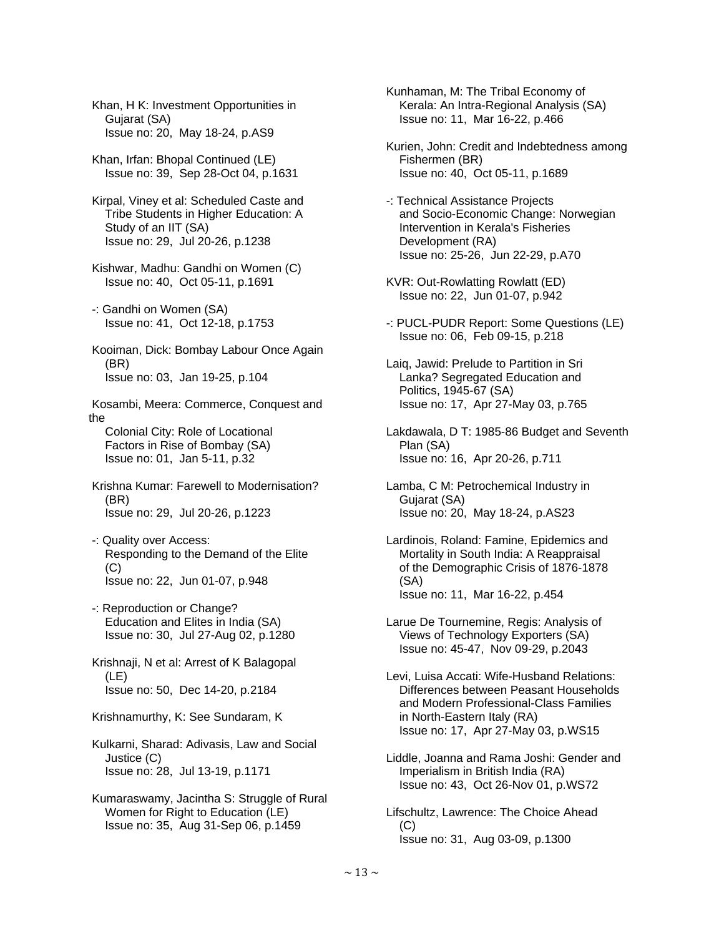Khan, H K: Investment Opportunities in Gujarat (SA) Issue no: 20, May 18-24, p.AS9

 Khan, Irfan: Bhopal Continued (LE) Issue no: 39, Sep 28-Oct 04, p.1631

 Kirpal, Viney et al: Scheduled Caste and Tribe Students in Higher Education: A Study of an IIT (SA) Issue no: 29, Jul 20-26, p.1238

 Kishwar, Madhu: Gandhi on Women (C) Issue no: 40, Oct 05-11, p.1691

 -: Gandhi on Women (SA) Issue no: 41, Oct 12-18, p.1753

 Kooiman, Dick: Bombay Labour Once Again (BR) Issue no: 03, Jan 19-25, p.104

 Kosambi, Meera: Commerce, Conquest and the Colonial City: Role of Locational Factors in Rise of Bombay (SA)

Issue no: 01, Jan 5-11, p.32

 Krishna Kumar: Farewell to Modernisation? (BR) Issue no: 29, Jul 20-26, p.1223

 -: Quality over Access: Responding to the Demand of the Elite  $(C)$ Issue no: 22, Jun 01-07, p.948

 -: Reproduction or Change? Education and Elites in India (SA) Issue no: 30, Jul 27-Aug 02, p.1280

 Krishnaji, N et al: Arrest of K Balagopal (LE) Issue no: 50, Dec 14-20, p.2184

Krishnamurthy, K: See Sundaram, K

 Kulkarni, Sharad: Adivasis, Law and Social Justice (C) Issue no: 28, Jul 13-19, p.1171

 Kumaraswamy, Jacintha S: Struggle of Rural Women for Right to Education (LE) Issue no: 35, Aug 31-Sep 06, p.1459

 Kunhaman, M: The Tribal Economy of Kerala: An Intra-Regional Analysis (SA) Issue no: 11, Mar 16-22, p.466

 Kurien, John: Credit and Indebtedness among Fishermen (BR) Issue no: 40, Oct 05-11, p.1689

 -: Technical Assistance Projects and Socio-Economic Change: Norwegian Intervention in Kerala's Fisheries Development (RA) Issue no: 25-26, Jun 22-29, p.A70

 KVR: Out-Rowlatting Rowlatt (ED) Issue no: 22, Jun 01-07, p.942

 -: PUCL-PUDR Report: Some Questions (LE) Issue no: 06, Feb 09-15, p.218

 Laiq, Jawid: Prelude to Partition in Sri Lanka? Segregated Education and Politics, 1945-67 (SA) Issue no: 17, Apr 27-May 03, p.765

 Lakdawala, D T: 1985-86 Budget and Seventh Plan (SA) Issue no: 16, Apr 20-26, p.711

 Lamba, C M: Petrochemical Industry in Gujarat (SA) Issue no: 20, May 18-24, p.AS23

 Lardinois, Roland: Famine, Epidemics and Mortality in South India: A Reappraisal of the Demographic Crisis of 1876-1878 (SA) Issue no: 11, Mar 16-22, p.454

 Larue De Tournemine, Regis: Analysis of Views of Technology Exporters (SA) Issue no: 45-47, Nov 09-29, p.2043

 Levi, Luisa Accati: Wife-Husband Relations: Differences between Peasant Households and Modern Professional-Class Families in North-Eastern Italy (RA) Issue no: 17, Apr 27-May 03, p.WS15

 Liddle, Joanna and Rama Joshi: Gender and Imperialism in British India (RA) Issue no: 43, Oct 26-Nov 01, p.WS72

 Lifschultz, Lawrence: The Choice Ahead  $(C)$ Issue no: 31, Aug 03-09, p.1300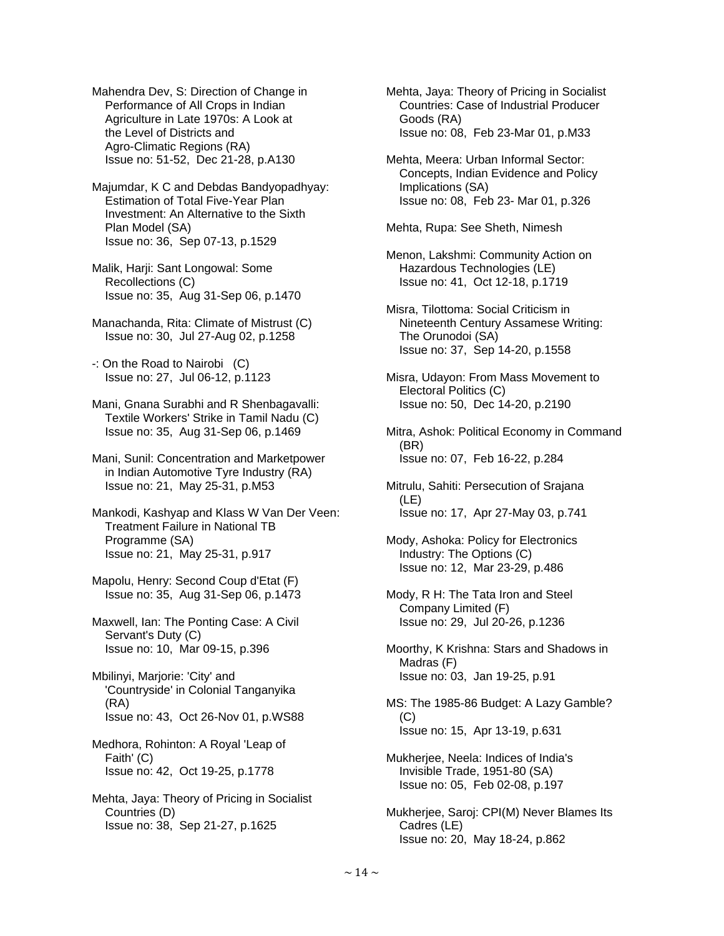Mahendra Dev, S: Direction of Change in Performance of All Crops in Indian Agriculture in Late 1970s: A Look at the Level of Districts and Agro-Climatic Regions (RA) Issue no: 51-52, Dec 21-28, p.A130

 Majumdar, K C and Debdas Bandyopadhyay: Estimation of Total Five-Year Plan Investment: An Alternative to the Sixth Plan Model (SA) Issue no: 36, Sep 07-13, p.1529

 Malik, Harji: Sant Longowal: Some Recollections (C) Issue no: 35, Aug 31-Sep 06, p.1470

 Manachanda, Rita: Climate of Mistrust (C) Issue no: 30, Jul 27-Aug 02, p.1258

 -: On the Road to Nairobi (C) Issue no: 27, Jul 06-12, p.1123

 Mani, Gnana Surabhi and R Shenbagavalli: Textile Workers' Strike in Tamil Nadu (C) Issue no: 35, Aug 31-Sep 06, p.1469

 Mani, Sunil: Concentration and Marketpower in Indian Automotive Tyre Industry (RA) Issue no: 21, May 25-31, p.M53

 Mankodi, Kashyap and Klass W Van Der Veen: Treatment Failure in National TB Programme (SA) Issue no: 21, May 25-31, p.917

 Mapolu, Henry: Second Coup d'Etat (F) Issue no: 35, Aug 31-Sep 06, p.1473

 Maxwell, Ian: The Ponting Case: A Civil Servant's Duty (C) Issue no: 10, Mar 09-15, p.396

 Mbilinyi, Marjorie: 'City' and 'Countryside' in Colonial Tanganyika (RA) Issue no: 43, Oct 26-Nov 01, p.WS88

 Medhora, Rohinton: A Royal 'Leap of Faith' (C) Issue no: 42, Oct 19-25, p.1778

 Mehta, Jaya: Theory of Pricing in Socialist Countries (D) Issue no: 38, Sep 21-27, p.1625

 Mehta, Jaya: Theory of Pricing in Socialist Countries: Case of Industrial Producer Goods (RA) Issue no: 08, Feb 23-Mar 01, p.M33

 Mehta, Meera: Urban Informal Sector: Concepts, Indian Evidence and Policy Implications (SA) Issue no: 08, Feb 23- Mar 01, p.326

Mehta, Rupa: See Sheth, Nimesh

 Menon, Lakshmi: Community Action on Hazardous Technologies (LE) Issue no: 41, Oct 12-18, p.1719

 Misra, Tilottoma: Social Criticism in Nineteenth Century Assamese Writing: The Orunodoi (SA) Issue no: 37, Sep 14-20, p.1558

 Misra, Udayon: From Mass Movement to Electoral Politics (C) Issue no: 50, Dec 14-20, p.2190

 Mitra, Ashok: Political Economy in Command (BR) Issue no: 07, Feb 16-22, p.284

- Mitrulu, Sahiti: Persecution of Srajana (LE) Issue no: 17, Apr 27-May 03, p.741
- Mody, Ashoka: Policy for Electronics Industry: The Options (C) Issue no: 12, Mar 23-29, p.486

 Mody, R H: The Tata Iron and Steel Company Limited (F) Issue no: 29, Jul 20-26, p.1236

 Moorthy, K Krishna: Stars and Shadows in Madras (F) Issue no: 03, Jan 19-25, p.91

 MS: The 1985-86 Budget: A Lazy Gamble? (C) Issue no: 15, Apr 13-19, p.631

 Mukherjee, Neela: Indices of India's Invisible Trade, 1951-80 (SA) Issue no: 05, Feb 02-08, p.197

 Mukherjee, Saroj: CPI(M) Never Blames Its Cadres (LE) Issue no: 20, May 18-24, p.862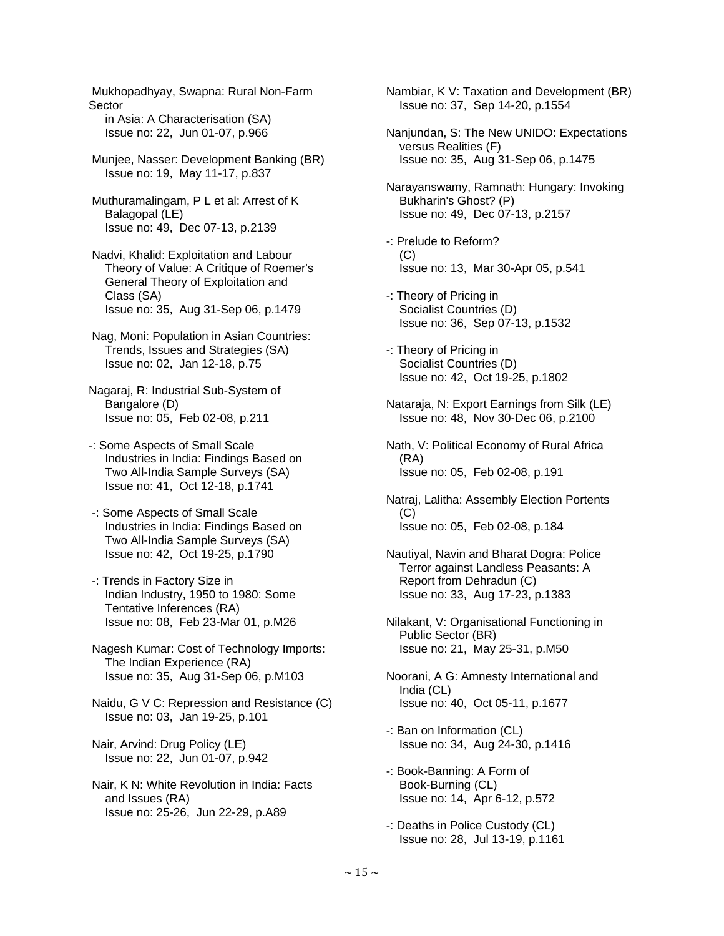Mukhopadhyay, Swapna: Rural Non-Farm Sector in Asia: A Characterisation (SA) Issue no: 22, Jun 01-07, p.966

- Munjee, Nasser: Development Banking (BR) Issue no: 19, May 11-17, p.837
- Muthuramalingam, P L et al: Arrest of K Balagopal (LE) Issue no: 49, Dec 07-13, p.2139
- Nadvi, Khalid: Exploitation and Labour Theory of Value: A Critique of Roemer's General Theory of Exploitation and Class (SA) Issue no: 35, Aug 31-Sep 06, p.1479
- Nag, Moni: Population in Asian Countries: Trends, Issues and Strategies (SA) Issue no: 02, Jan 12-18, p.75
- Nagaraj, R: Industrial Sub-System of Bangalore (D) Issue no: 05, Feb 02-08, p.211
- -: Some Aspects of Small Scale Industries in India: Findings Based on Two All-India Sample Surveys (SA) Issue no: 41, Oct 12-18, p.1741
- -: Some Aspects of Small Scale Industries in India: Findings Based on Two All-India Sample Surveys (SA) Issue no: 42, Oct 19-25, p.1790
- -: Trends in Factory Size in Indian Industry, 1950 to 1980: Some Tentative Inferences (RA) Issue no: 08, Feb 23-Mar 01, p.M26
- Nagesh Kumar: Cost of Technology Imports: The Indian Experience (RA) Issue no: 35, Aug 31-Sep 06, p.M103
- Naidu, G V C: Repression and Resistance (C) Issue no: 03, Jan 19-25, p.101
- Nair, Arvind: Drug Policy (LE) Issue no: 22, Jun 01-07, p.942
- Nair, K N: White Revolution in India: Facts and Issues (RA) Issue no: 25-26, Jun 22-29, p.A89

 Nambiar, K V: Taxation and Development (BR) Issue no: 37, Sep 14-20, p.1554

- Nanjundan, S: The New UNIDO: Expectations versus Realities (F) Issue no: 35, Aug 31-Sep 06, p.1475
- Narayanswamy, Ramnath: Hungary: Invoking Bukharin's Ghost? (P) Issue no: 49, Dec 07-13, p.2157
- -: Prelude to Reform?  $(C)$ Issue no: 13, Mar 30-Apr 05, p.541
- -: Theory of Pricing in Socialist Countries (D) Issue no: 36, Sep 07-13, p.1532
- -: Theory of Pricing in Socialist Countries (D) Issue no: 42, Oct 19-25, p.1802
- Nataraja, N: Export Earnings from Silk (LE) Issue no: 48, Nov 30-Dec 06, p.2100
- Nath, V: Political Economy of Rural Africa (RA) Issue no: 05, Feb 02-08, p.191
- Natraj, Lalitha: Assembly Election Portents (C) Issue no: 05, Feb 02-08, p.184
- Nautiyal, Navin and Bharat Dogra: Police Terror against Landless Peasants: A Report from Dehradun (C) Issue no: 33, Aug 17-23, p.1383
- Nilakant, V: Organisational Functioning in Public Sector (BR) Issue no: 21, May 25-31, p.M50
- Noorani, A G: Amnesty International and India (CL) Issue no: 40, Oct 05-11, p.1677
- -: Ban on Information (CL) Issue no: 34, Aug 24-30, p.1416
- -: Book-Banning: A Form of Book-Burning (CL) Issue no: 14, Apr 6-12, p.572
- -: Deaths in Police Custody (CL) Issue no: 28, Jul 13-19, p.1161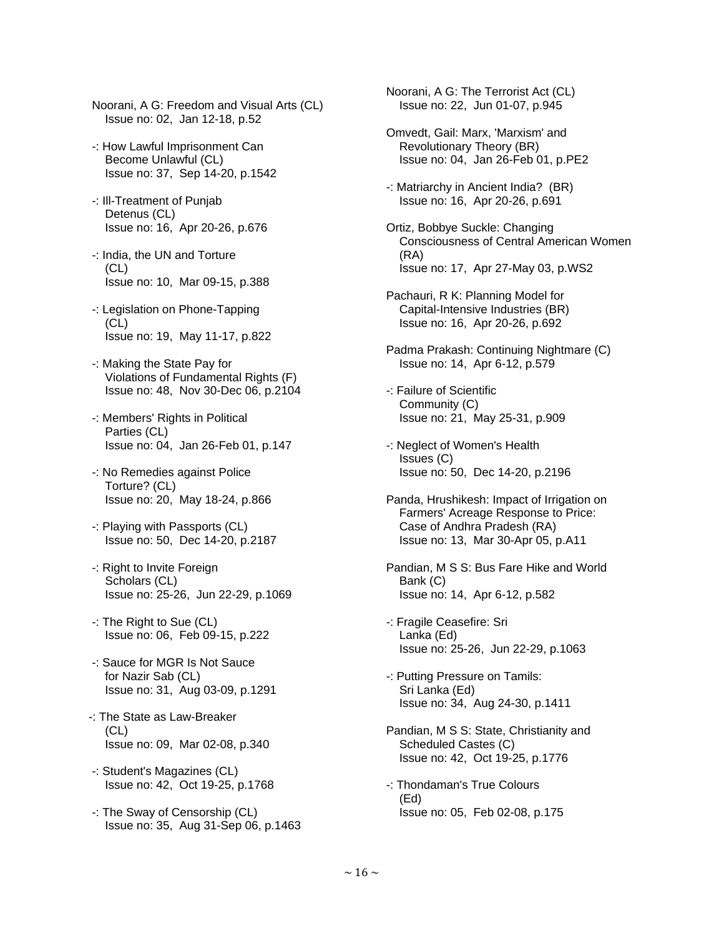- Noorani, A G: Freedom and Visual Arts (CL) Issue no: 02, Jan 12-18, p.52
- -: How Lawful Imprisonment Can Become Unlawful (CL) Issue no: 37, Sep 14-20, p.1542
- -: Ill-Treatment of Punjab Detenus (CL) Issue no: 16, Apr 20-26, p.676
- -: India, the UN and Torture (CL) Issue no: 10, Mar 09-15, p.388
- -: Legislation on Phone-Tapping (CL) Issue no: 19, May 11-17, p.822
- -: Making the State Pay for Violations of Fundamental Rights (F) Issue no: 48, Nov 30-Dec 06, p.2104
- -: Members' Rights in Political Parties (CL) Issue no: 04, Jan 26-Feb 01, p.147
- -: No Remedies against Police Torture? (CL) Issue no: 20, May 18-24, p.866
- -: Playing with Passports (CL) Issue no: 50, Dec 14-20, p.2187
- -: Right to Invite Foreign Scholars (CL) Issue no: 25-26, Jun 22-29, p.1069
- -: The Right to Sue (CL) Issue no: 06, Feb 09-15, p.222
- -: Sauce for MGR Is Not Sauce for Nazir Sab (CL) Issue no: 31, Aug 03-09, p.1291
- -: The State as Law-Breaker  $(CL)$ Issue no: 09, Mar 02-08, p.340
- -: Student's Magazines (CL) Issue no: 42, Oct 19-25, p.1768
- -: The Sway of Censorship (CL) Issue no: 35, Aug 31-Sep 06, p.1463

 Noorani, A G: The Terrorist Act (CL) Issue no: 22, Jun 01-07, p.945

- Omvedt, Gail: Marx, 'Marxism' and Revolutionary Theory (BR) Issue no: 04, Jan 26-Feb 01, p.PE2
- -: Matriarchy in Ancient India? (BR) Issue no: 16, Apr 20-26, p.691
- Ortiz, Bobbye Suckle: Changing Consciousness of Central American Women (RA) Issue no: 17, Apr 27-May 03, p.WS2
- Pachauri, R K: Planning Model for Capital-Intensive Industries (BR) Issue no: 16, Apr 20-26, p.692
- Padma Prakash: Continuing Nightmare (C) Issue no: 14, Apr 6-12, p.579
- -: Failure of Scientific Community (C) Issue no: 21, May 25-31, p.909
- -: Neglect of Women's Health Issues (C) Issue no: 50, Dec 14-20, p.2196
- Panda, Hrushikesh: Impact of Irrigation on Farmers' Acreage Response to Price: Case of Andhra Pradesh (RA) Issue no: 13, Mar 30-Apr 05, p.A11
- Pandian, M S S: Bus Fare Hike and World Bank (C) Issue no: 14, Apr 6-12, p.582
- -: Fragile Ceasefire: Sri Lanka (Ed) Issue no: 25-26, Jun 22-29, p.1063
- -: Putting Pressure on Tamils: Sri Lanka (Ed) Issue no: 34, Aug 24-30, p.1411
- Pandian, M S S: State, Christianity and Scheduled Castes (C) Issue no: 42, Oct 19-25, p.1776
- -: Thondaman's True Colours (Ed) Issue no: 05, Feb 02-08, p.175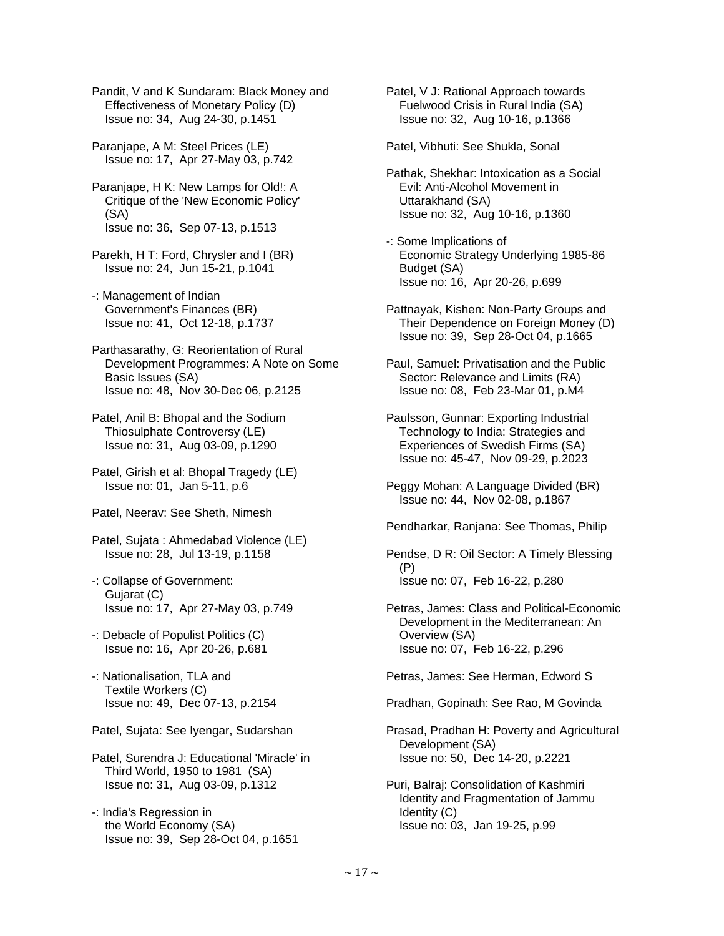Pandit, V and K Sundaram: Black Money and Effectiveness of Monetary Policy (D) Issue no: 34, Aug 24-30, p.1451

 Paranjape, A M: Steel Prices (LE) Issue no: 17, Apr 27-May 03, p.742

 Paranjape, H K: New Lamps for Old!: A Critique of the 'New Economic Policy' (SA) Issue no: 36, Sep 07-13, p.1513

 Parekh, H T: Ford, Chrysler and I (BR) Issue no: 24, Jun 15-21, p.1041

 -: Management of Indian Government's Finances (BR) Issue no: 41, Oct 12-18, p.1737

 Parthasarathy, G: Reorientation of Rural Development Programmes: A Note on Some Basic Issues (SA) Issue no: 48, Nov 30-Dec 06, p.2125

 Patel, Anil B: Bhopal and the Sodium Thiosulphate Controversy (LE) Issue no: 31, Aug 03-09, p.1290

 Patel, Girish et al: Bhopal Tragedy (LE) Issue no: 01, Jan 5-11, p.6

Patel, Neerav: See Sheth, Nimesh

 Patel, Sujata : Ahmedabad Violence (LE) Issue no: 28, Jul 13-19, p.1158

 -: Collapse of Government: Gujarat (C) Issue no: 17, Apr 27-May 03, p.749

 -: Debacle of Populist Politics (C) Issue no: 16, Apr 20-26, p.681

 -: Nationalisation, TLA and Textile Workers (C) Issue no: 49, Dec 07-13, p.2154

Patel, Sujata: See Iyengar, Sudarshan

 Patel, Surendra J: Educational 'Miracle' in Third World, 1950 to 1981 (SA) Issue no: 31, Aug 03-09, p.1312

 -: India's Regression in the World Economy (SA) Issue no: 39, Sep 28-Oct 04, p.1651  Patel, V J: Rational Approach towards Fuelwood Crisis in Rural India (SA) Issue no: 32, Aug 10-16, p.1366

Patel, Vibhuti: See Shukla, Sonal

 Pathak, Shekhar: Intoxication as a Social Evil: Anti-Alcohol Movement in Uttarakhand (SA) Issue no: 32, Aug 10-16, p.1360

 -: Some Implications of Economic Strategy Underlying 1985-86 Budget (SA) Issue no: 16, Apr 20-26, p.699

 Pattnayak, Kishen: Non-Party Groups and Their Dependence on Foreign Money (D) Issue no: 39, Sep 28-Oct 04, p.1665

 Paul, Samuel: Privatisation and the Public Sector: Relevance and Limits (RA) Issue no: 08, Feb 23-Mar 01, p.M4

 Paulsson, Gunnar: Exporting Industrial Technology to India: Strategies and Experiences of Swedish Firms (SA) Issue no: 45-47, Nov 09-29, p.2023

 Peggy Mohan: A Language Divided (BR) Issue no: 44, Nov 02-08, p.1867

Pendharkar, Ranjana: See Thomas, Philip

 Pendse, D R: Oil Sector: A Timely Blessing (P) Issue no: 07, Feb 16-22, p.280

 Petras, James: Class and Political-Economic Development in the Mediterranean: An Overview (SA) Issue no: 07, Feb 16-22, p.296

Petras, James: See Herman, Edword S

Pradhan, Gopinath: See Rao, M Govinda

 Prasad, Pradhan H: Poverty and Agricultural Development (SA) Issue no: 50, Dec 14-20, p.2221

 Puri, Balraj: Consolidation of Kashmiri Identity and Fragmentation of Jammu Identity (C) Issue no: 03, Jan 19-25, p.99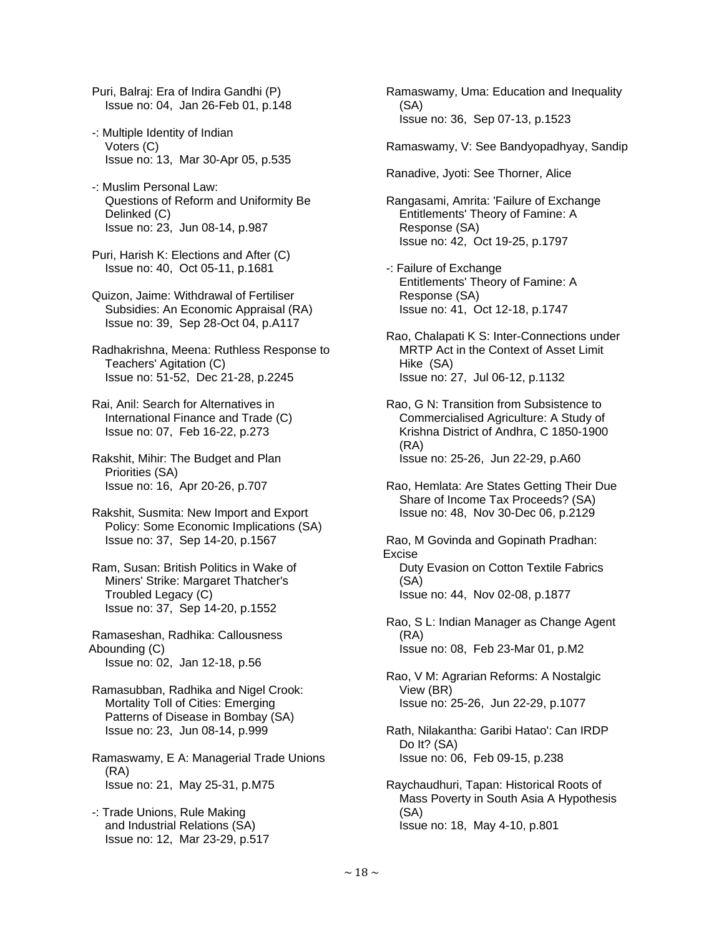Puri, Balraj: Era of Indira Gandhi (P) Issue no: 04, Jan 26-Feb 01, p.148

- -: Multiple Identity of Indian Voters (C) Issue no: 13, Mar 30-Apr 05, p.535
- -: Muslim Personal Law: Questions of Reform and Uniformity Be Delinked (C) Issue no: 23, Jun 08-14, p.987
- Puri, Harish K: Elections and After (C) Issue no: 40, Oct 05-11, p.1681

 Quizon, Jaime: Withdrawal of Fertiliser Subsidies: An Economic Appraisal (RA) Issue no: 39, Sep 28-Oct 04, p.A117

 Radhakrishna, Meena: Ruthless Response to Teachers' Agitation (C) Issue no: 51-52, Dec 21-28, p.2245

 Rai, Anil: Search for Alternatives in International Finance and Trade (C) Issue no: 07, Feb 16-22, p.273

 Rakshit, Mihir: The Budget and Plan Priorities (SA) Issue no: 16, Apr 20-26, p.707

- Rakshit, Susmita: New Import and Export Policy: Some Economic Implications (SA) Issue no: 37, Sep 14-20, p.1567
- Ram, Susan: British Politics in Wake of Miners' Strike: Margaret Thatcher's Troubled Legacy (C) Issue no: 37, Sep 14-20, p.1552

 Ramaseshan, Radhika: Callousness Abounding (C) Issue no: 02, Jan 12-18, p.56

 Ramasubban, Radhika and Nigel Crook: Mortality Toll of Cities: Emerging Patterns of Disease in Bombay (SA) Issue no: 23, Jun 08-14, p.999

 Ramaswamy, E A: Managerial Trade Unions (RA) Issue no: 21, May 25-31, p.M75

 -: Trade Unions, Rule Making and Industrial Relations (SA) Issue no: 12, Mar 23-29, p.517  Ramaswamy, Uma: Education and Inequality (SA) Issue no: 36, Sep 07-13, p.1523

Ramaswamy, V: See Bandyopadhyay, Sandip

Ranadive, Jyoti: See Thorner, Alice

 Rangasami, Amrita: 'Failure of Exchange Entitlements' Theory of Famine: A Response (SA) Issue no: 42, Oct 19-25, p.1797

 -: Failure of Exchange Entitlements' Theory of Famine: A Response (SA) Issue no: 41, Oct 12-18, p.1747

 Rao, Chalapati K S: Inter-Connections under MRTP Act in the Context of Asset Limit Hike (SA) Issue no: 27, Jul 06-12, p.1132

 Rao, G N: Transition from Subsistence to Commercialised Agriculture: A Study of Krishna District of Andhra, C 1850-1900 (RA) Issue no: 25-26, Jun 22-29, p.A60

 Rao, Hemlata: Are States Getting Their Due Share of Income Tax Proceeds? (SA) Issue no: 48, Nov 30-Dec 06, p.2129

 Rao, M Govinda and Gopinath Pradhan: Excise Duty Evasion on Cotton Textile Fabrics (SA) Issue no: 44, Nov 02-08, p.1877

 Rao, S L: Indian Manager as Change Agent (RA) Issue no: 08, Feb 23-Mar 01, p.M2

 Rao, V M: Agrarian Reforms: A Nostalgic View (BR) Issue no: 25-26, Jun 22-29, p.1077

 Rath, Nilakantha: Garibi Hatao': Can IRDP Do It? (SA) Issue no: 06, Feb 09-15, p.238

 Raychaudhuri, Tapan: Historical Roots of Mass Poverty in South Asia A Hypothesis (SA) Issue no: 18, May 4-10, p.801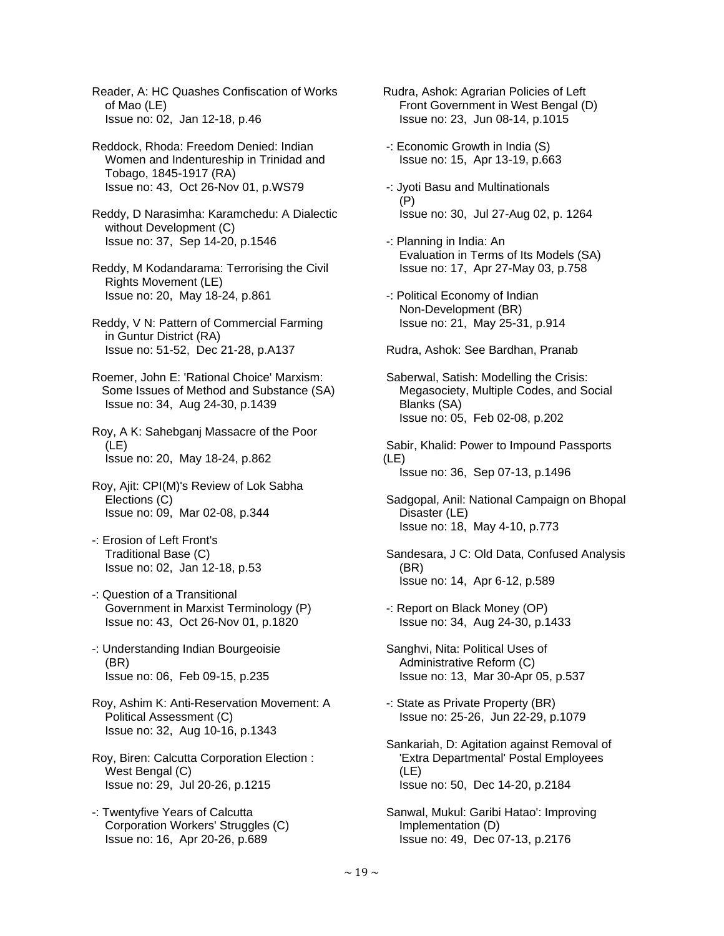Reader, A: HC Quashes Confiscation of Works of Mao (LE) Issue no: 02, Jan 12-18, p.46

 Reddock, Rhoda: Freedom Denied: Indian Women and Indentureship in Trinidad and Tobago, 1845-1917 (RA) Issue no: 43, Oct 26-Nov 01, p.WS79

 Reddy, D Narasimha: Karamchedu: A Dialectic without Development (C) Issue no: 37, Sep 14-20, p.1546

 Reddy, M Kodandarama: Terrorising the Civil Rights Movement (LE) Issue no: 20, May 18-24, p.861

 Reddy, V N: Pattern of Commercial Farming in Guntur District (RA) Issue no: 51-52, Dec 21-28, p.A137

 Roemer, John E: 'Rational Choice' Marxism: Some Issues of Method and Substance (SA) Issue no: 34, Aug 24-30, p.1439

 Roy, A K: Sahebganj Massacre of the Poor (LE) Issue no: 20, May 18-24, p.862

 Roy, Ajit: CPI(M)'s Review of Lok Sabha Elections (C) Issue no: 09, Mar 02-08, p.344

 -: Erosion of Left Front's Traditional Base (C) Issue no: 02, Jan 12-18, p.53

 -: Question of a Transitional Government in Marxist Terminology (P) Issue no: 43, Oct 26-Nov 01, p.1820

 -: Understanding Indian Bourgeoisie (BR) Issue no: 06, Feb 09-15, p.235

 Roy, Ashim K: Anti-Reservation Movement: A Political Assessment (C) Issue no: 32, Aug 10-16, p.1343

 Roy, Biren: Calcutta Corporation Election : West Bengal (C) Issue no: 29, Jul 20-26, p.1215

 -: Twentyfive Years of Calcutta Corporation Workers' Struggles (C) Issue no: 16, Apr 20-26, p.689

- Rudra, Ashok: Agrarian Policies of Left Front Government in West Bengal (D) Issue no: 23, Jun 08-14, p.1015
- -: Economic Growth in India (S) Issue no: 15, Apr 13-19, p.663
- -: Jyoti Basu and Multinationals (P) Issue no: 30, Jul 27-Aug 02, p. 1264
- -: Planning in India: An Evaluation in Terms of Its Models (SA) Issue no: 17, Apr 27-May 03, p.758
- -: Political Economy of Indian Non-Development (BR) Issue no: 21, May 25-31, p.914

Rudra, Ashok: See Bardhan, Pranab

 Saberwal, Satish: Modelling the Crisis: Megasociety, Multiple Codes, and Social Blanks (SA) Issue no: 05, Feb 02-08, p.202

 Sabir, Khalid: Power to Impound Passports (LE) Issue no: 36, Sep 07-13, p.1496

 Sadgopal, Anil: National Campaign on Bhopal Disaster (LE) Issue no: 18, May 4-10, p.773

 Sandesara, J C: Old Data, Confused Analysis (BR) Issue no: 14, Apr 6-12, p.589

 -: Report on Black Money (OP) Issue no: 34, Aug 24-30, p.1433

 Sanghvi, Nita: Political Uses of Administrative Reform (C) Issue no: 13, Mar 30-Apr 05, p.537

 -: State as Private Property (BR) Issue no: 25-26, Jun 22-29, p.1079

 Sankariah, D: Agitation against Removal of 'Extra Departmental' Postal Employees (LE) Issue no: 50, Dec 14-20, p.2184

 Sanwal, Mukul: Garibi Hatao': Improving Implementation (D) Issue no: 49, Dec 07-13, p.2176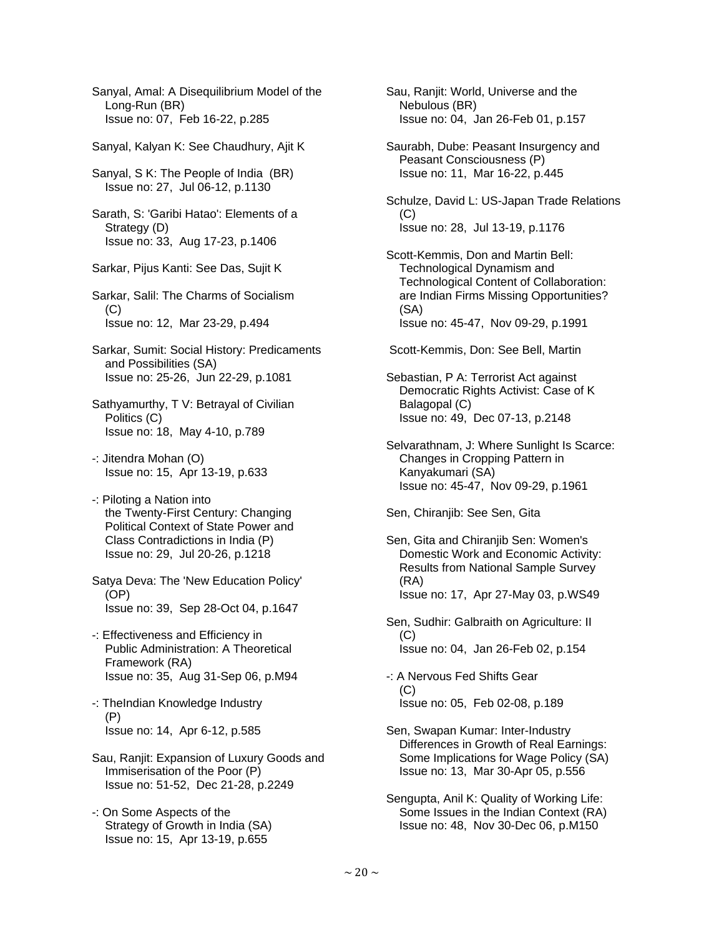Sanyal, Amal: A Disequilibrium Model of the Long-Run (BR) Issue no: 07, Feb 16-22, p.285 Sanyal, Kalyan K: See Chaudhury, Ajit K Sanyal, S K: The People of India (BR) Issue no: 27, Jul 06-12, p.1130 Sarath, S: 'Garibi Hatao': Elements of a Strategy (D) Issue no: 33, Aug 17-23, p.1406 Sarkar, Pijus Kanti: See Das, Sujit K Sarkar, Salil: The Charms of Socialism  $(C)$  Issue no: 12, Mar 23-29, p.494 Sarkar, Sumit: Social History: Predicaments and Possibilities (SA) Issue no: 25-26, Jun 22-29, p.1081 Sathyamurthy, T V: Betrayal of Civilian Politics (C) Issue no: 18, May 4-10, p.789 -: Jitendra Mohan (O) Issue no: 15, Apr 13-19, p.633 -: Piloting a Nation into the Twenty-First Century: Changing Political Context of State Power and Class Contradictions in India (P) Issue no: 29, Jul 20-26, p.1218 Satya Deva: The 'New Education Policy' (OP) Issue no: 39, Sep 28-Oct 04, p.1647 -: Effectiveness and Efficiency in Public Administration: A Theoretical Framework (RA) Issue no: 35, Aug 31-Sep 06, p.M94 -: TheIndian Knowledge Industry (P) Issue no: 14, Apr 6-12, p.585 Sau, Ranjit: Expansion of Luxury Goods and Immiserisation of the Poor (P) Issue no: 51-52, Dec 21-28, p.2249 -: On Some Aspects of the Strategy of Growth in India (SA)

Issue no: 15, Apr 13-19, p.655

 Sau, Ranjit: World, Universe and the Nebulous (BR) Issue no: 04, Jan 26-Feb 01, p.157

 Saurabh, Dube: Peasant Insurgency and Peasant Consciousness (P) Issue no: 11, Mar 16-22, p.445

 Schulze, David L: US-Japan Trade Relations  $(C)$ Issue no: 28, Jul 13-19, p.1176

 Scott-Kemmis, Don and Martin Bell: Technological Dynamism and Technological Content of Collaboration: are Indian Firms Missing Opportunities? (SA) Issue no: 45-47, Nov 09-29, p.1991

Scott-Kemmis, Don: See Bell, Martin

 Sebastian, P A: Terrorist Act against Democratic Rights Activist: Case of K Balagopal (C) Issue no: 49, Dec 07-13, p.2148

 Selvarathnam, J: Where Sunlight Is Scarce: Changes in Cropping Pattern in Kanyakumari (SA) Issue no: 45-47, Nov 09-29, p.1961

Sen, Chiranjib: See Sen, Gita

 Sen, Gita and Chiranjib Sen: Women's Domestic Work and Economic Activity: Results from National Sample Survey (RA) Issue no: 17, Apr 27-May 03, p.WS49

 Sen, Sudhir: Galbraith on Agriculture: II (C) Issue no: 04, Jan 26-Feb 02, p.154

 -: A Nervous Fed Shifts Gear (C) Issue no: 05, Feb 02-08, p.189

- Sen, Swapan Kumar: Inter-Industry Differences in Growth of Real Earnings: Some Implications for Wage Policy (SA) Issue no: 13, Mar 30-Apr 05, p.556
- Sengupta, Anil K: Quality of Working Life: Some Issues in the Indian Context (RA) Issue no: 48, Nov 30-Dec 06, p.M150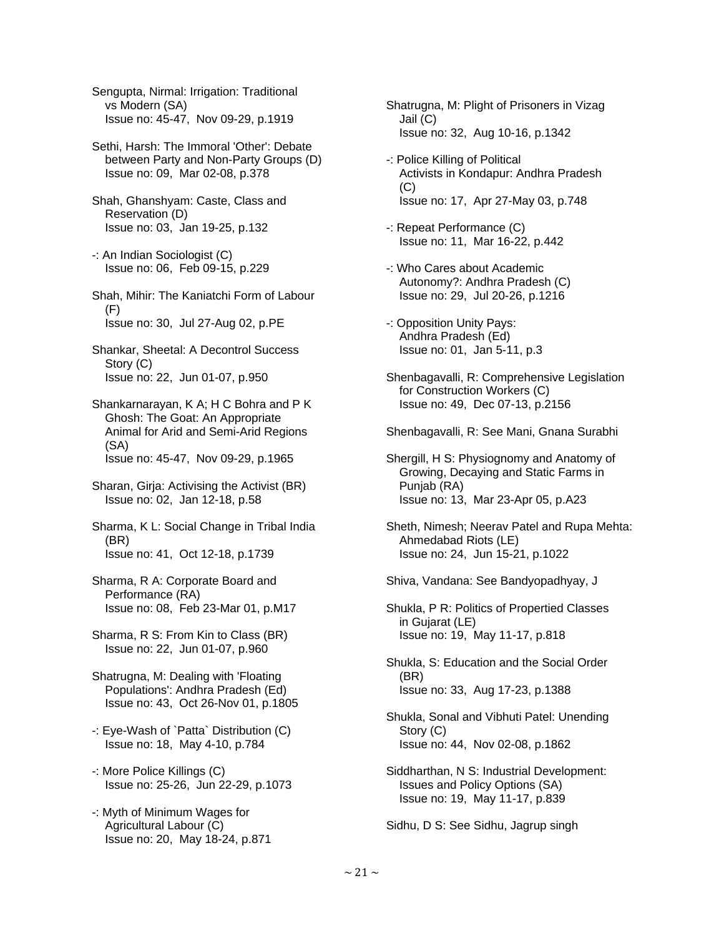Sengupta, Nirmal: Irrigation: Traditional vs Modern (SA) Issue no: 45-47, Nov 09-29, p.1919

 Sethi, Harsh: The Immoral 'Other': Debate between Party and Non-Party Groups (D) Issue no: 09, Mar 02-08, p.378

- Shah, Ghanshyam: Caste, Class and Reservation (D) Issue no: 03, Jan 19-25, p.132
- -: An Indian Sociologist (C) Issue no: 06, Feb 09-15, p.229
- Shah, Mihir: The Kaniatchi Form of Labour (F) Issue no: 30, Jul 27-Aug 02, p.PE
- Shankar, Sheetal: A Decontrol Success Story (C) Issue no: 22, Jun 01-07, p.950
- Shankarnarayan, K A; H C Bohra and P K Ghosh: The Goat: An Appropriate Animal for Arid and Semi-Arid Regions (SA) Issue no: 45-47, Nov 09-29, p.1965
- Sharan, Girja: Activising the Activist (BR) Issue no: 02, Jan 12-18, p.58
- Sharma, K L: Social Change in Tribal India (BR) Issue no: 41, Oct 12-18, p.1739
- Sharma, R A: Corporate Board and Performance (RA) Issue no: 08, Feb 23-Mar 01, p.M17
- Sharma, R S: From Kin to Class (BR) Issue no: 22, Jun 01-07, p.960
- Shatrugna, M: Dealing with 'Floating Populations': Andhra Pradesh (Ed) Issue no: 43, Oct 26-Nov 01, p.1805
- -: Eye-Wash of `Patta` Distribution (C) Issue no: 18, May 4-10, p.784
- -: More Police Killings (C) Issue no: 25-26, Jun 22-29, p.1073
- -: Myth of Minimum Wages for Agricultural Labour (C) Issue no: 20, May 18-24, p.871
- Shatrugna, M: Plight of Prisoners in Vizag Jail (C) Issue no: 32, Aug 10-16, p.1342
- -: Police Killing of Political Activists in Kondapur: Andhra Pradesh (C) Issue no: 17, Apr 27-May 03, p.748
- -: Repeat Performance (C) Issue no: 11, Mar 16-22, p.442
- -: Who Cares about Academic Autonomy?: Andhra Pradesh (C) Issue no: 29, Jul 20-26, p.1216
- -: Opposition Unity Pays: Andhra Pradesh (Ed) Issue no: 01, Jan 5-11, p.3
- Shenbagavalli, R: Comprehensive Legislation for Construction Workers (C) Issue no: 49, Dec 07-13, p.2156
- Shenbagavalli, R: See Mani, Gnana Surabhi
- Shergill, H S: Physiognomy and Anatomy of Growing, Decaying and Static Farms in Punjab (RA) Issue no: 13, Mar 23-Apr 05, p.A23
- Sheth, Nimesh; Neerav Patel and Rupa Mehta: Ahmedabad Riots (LE) Issue no: 24, Jun 15-21, p.1022
- Shiva, Vandana: See Bandyopadhyay, J

 Shukla, P R: Politics of Propertied Classes in Gujarat (LE) Issue no: 19, May 11-17, p.818

- Shukla, S: Education and the Social Order (BR) Issue no: 33, Aug 17-23, p.1388
- Shukla, Sonal and Vibhuti Patel: Unending Story (C) Issue no: 44, Nov 02-08, p.1862
- Siddharthan, N S: Industrial Development: Issues and Policy Options (SA) Issue no: 19, May 11-17, p.839

Sidhu, D S: See Sidhu, Jagrup singh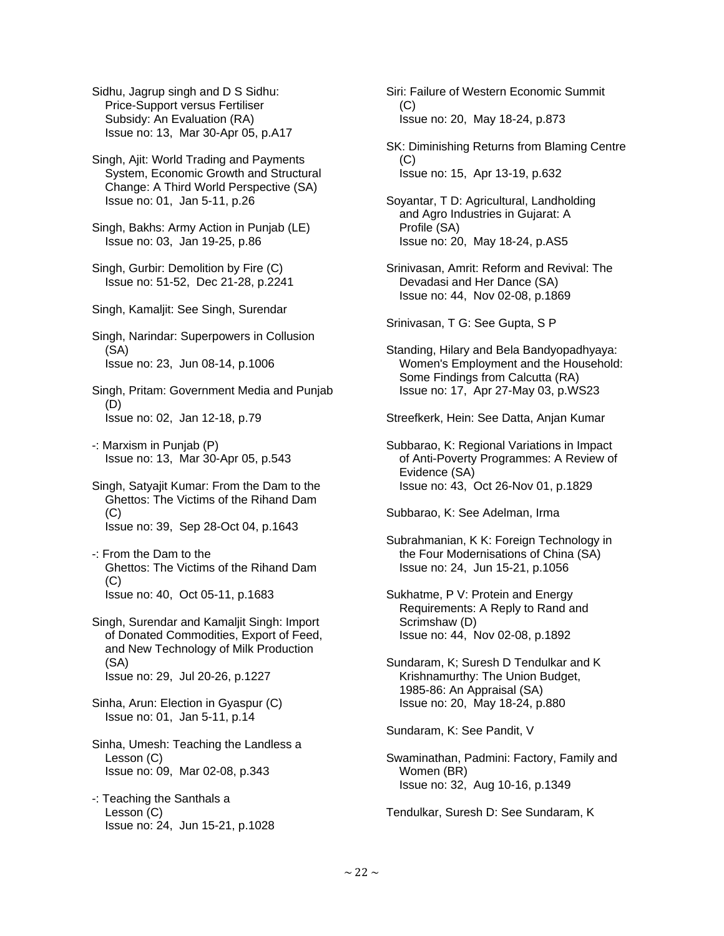Sidhu, Jagrup singh and D S Sidhu: Price-Support versus Fertiliser Subsidy: An Evaluation (RA) Issue no: 13, Mar 30-Apr 05, p.A17

 Singh, Ajit: World Trading and Payments System, Economic Growth and Structural Change: A Third World Perspective (SA) Issue no: 01, Jan 5-11, p.26

 Singh, Bakhs: Army Action in Punjab (LE) Issue no: 03, Jan 19-25, p.86

 Singh, Gurbir: Demolition by Fire (C) Issue no: 51-52, Dec 21-28, p.2241

Singh, Kamaljit: See Singh, Surendar

 Singh, Narindar: Superpowers in Collusion (SA) Issue no: 23, Jun 08-14, p.1006

 Singh, Pritam: Government Media and Punjab (D) Issue no: 02, Jan 12-18, p.79

 -: Marxism in Punjab (P) Issue no: 13, Mar 30-Apr 05, p.543

 Singh, Satyajit Kumar: From the Dam to the Ghettos: The Victims of the Rihand Dam (C) Issue no: 39, Sep 28-Oct 04, p.1643

 -: From the Dam to the Ghettos: The Victims of the Rihand Dam  $(C)$ Issue no: 40, Oct 05-11, p.1683

 Singh, Surendar and Kamaljit Singh: Import of Donated Commodities, Export of Feed, and New Technology of Milk Production (SA) Issue no: 29, Jul 20-26, p.1227

 Sinha, Arun: Election in Gyaspur (C) Issue no: 01, Jan 5-11, p.14

 Sinha, Umesh: Teaching the Landless a Lesson (C) Issue no: 09, Mar 02-08, p.343

 -: Teaching the Santhals a Lesson (C) Issue no: 24, Jun 15-21, p.1028  Siri: Failure of Western Economic Summit  $(C)$ Issue no: 20, May 18-24, p.873

 SK: Diminishing Returns from Blaming Centre (C) Issue no: 15, Apr 13-19, p.632

 Soyantar, T D: Agricultural, Landholding and Agro Industries in Gujarat: A Profile (SA) Issue no: 20, May 18-24, p.AS5

 Srinivasan, Amrit: Reform and Revival: The Devadasi and Her Dance (SA) Issue no: 44, Nov 02-08, p.1869

Srinivasan, T G: See Gupta, S P

 Standing, Hilary and Bela Bandyopadhyaya: Women's Employment and the Household: Some Findings from Calcutta (RA) Issue no: 17, Apr 27-May 03, p.WS23

Streefkerk, Hein: See Datta, Anjan Kumar

 Subbarao, K: Regional Variations in Impact of Anti-Poverty Programmes: A Review of Evidence (SA) Issue no: 43, Oct 26-Nov 01, p.1829

Subbarao, K: See Adelman, Irma

 Subrahmanian, K K: Foreign Technology in the Four Modernisations of China (SA) Issue no: 24, Jun 15-21, p.1056

 Sukhatme, P V: Protein and Energy Requirements: A Reply to Rand and Scrimshaw (D) Issue no: 44, Nov 02-08, p.1892

 Sundaram, K; Suresh D Tendulkar and K Krishnamurthy: The Union Budget, 1985-86: An Appraisal (SA) Issue no: 20, May 18-24, p.880

Sundaram, K: See Pandit, V

 Swaminathan, Padmini: Factory, Family and Women (BR) Issue no: 32, Aug 10-16, p.1349

Tendulkar, Suresh D: See Sundaram, K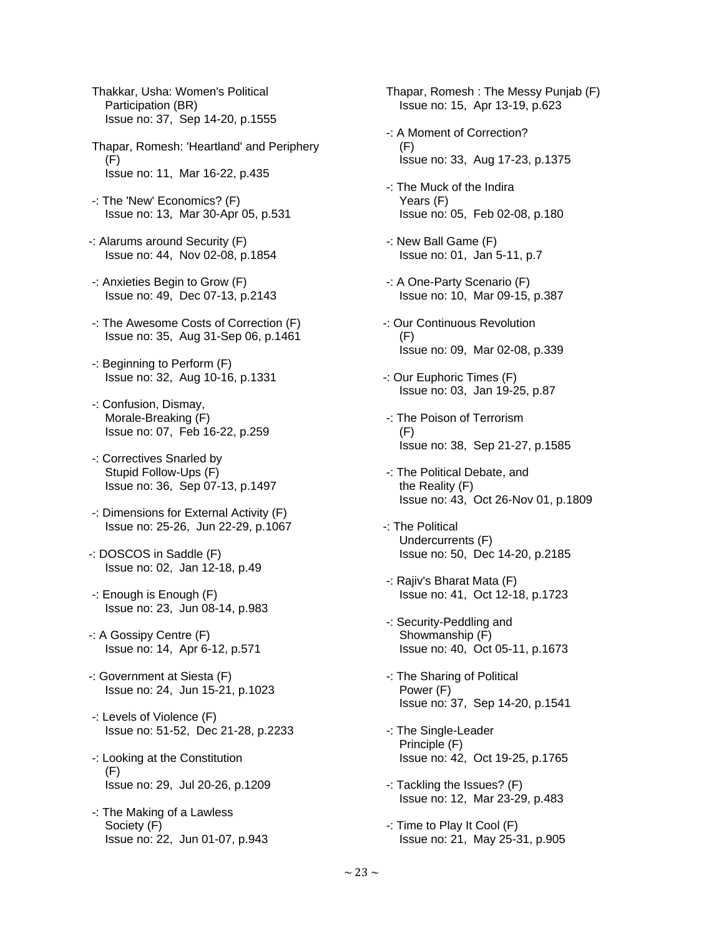Thakkar, Usha: Women's Political Participation (BR) Issue no: 37, Sep 14-20, p.1555

- Thapar, Romesh: 'Heartland' and Periphery  $(F)$ Issue no: 11, Mar 16-22, p.435
- -: The 'New' Economics? (F) Issue no: 13, Mar 30-Apr 05, p.531
- -: Alarums around Security (F) Issue no: 44, Nov 02-08, p.1854
- -: Anxieties Begin to Grow (F) Issue no: 49, Dec 07-13, p.2143
- -: The Awesome Costs of Correction (F) Issue no: 35, Aug 31-Sep 06, p.1461
- -: Beginning to Perform (F) Issue no: 32, Aug 10-16, p.1331
- -: Confusion, Dismay, Morale-Breaking (F) Issue no: 07, Feb 16-22, p.259
- -: Correctives Snarled by Stupid Follow-Ups (F) Issue no: 36, Sep 07-13, p.1497
- -: Dimensions for External Activity (F) Issue no: 25-26, Jun 22-29, p.1067
- -: DOSCOS in Saddle (F) Issue no: 02, Jan 12-18, p.49
- -: Enough is Enough (F) Issue no: 23, Jun 08-14, p.983
- -: A Gossipy Centre (F) Issue no: 14, Apr 6-12, p.571
- -: Government at Siesta (F) Issue no: 24, Jun 15-21, p.1023
- -: Levels of Violence (F) Issue no: 51-52, Dec 21-28, p.2233
- -: Looking at the Constitution (F) Issue no: 29, Jul 20-26, p.1209
- -: The Making of a Lawless Society (F) Issue no: 22, Jun 01-07, p.943

 Thapar, Romesh : The Messy Punjab (F) Issue no: 15, Apr 13-19, p.623

- -: A Moment of Correction? (F) Issue no: 33, Aug 17-23, p.1375
- -: The Muck of the Indira Years (F) Issue no: 05, Feb 02-08, p.180
- -: New Ball Game (F) Issue no: 01, Jan 5-11, p.7
- -: A One-Party Scenario (F) Issue no: 10, Mar 09-15, p.387
- -: Our Continuous Revolution  $(F)$ Issue no: 09, Mar 02-08, p.339
- -: Our Euphoric Times (F) Issue no: 03, Jan 19-25, p.87
- -: The Poison of Terrorism (F) Issue no: 38, Sep 21-27, p.1585
- -: The Political Debate, and the Reality (F) Issue no: 43, Oct 26-Nov 01, p.1809
- -: The Political Undercurrents (F) Issue no: 50, Dec 14-20, p.2185
- -: Rajiv's Bharat Mata (F) Issue no: 41, Oct 12-18, p.1723
- -: Security-Peddling and Showmanship (F) Issue no: 40, Oct 05-11, p.1673
- -: The Sharing of Political Power (F) Issue no: 37, Sep 14-20, p.1541
- -: The Single-Leader Principle (F) Issue no: 42, Oct 19-25, p.1765
- -: Tackling the Issues? (F) Issue no: 12, Mar 23-29, p.483
- -: Time to Play It Cool (F) Issue no: 21, May 25-31, p.905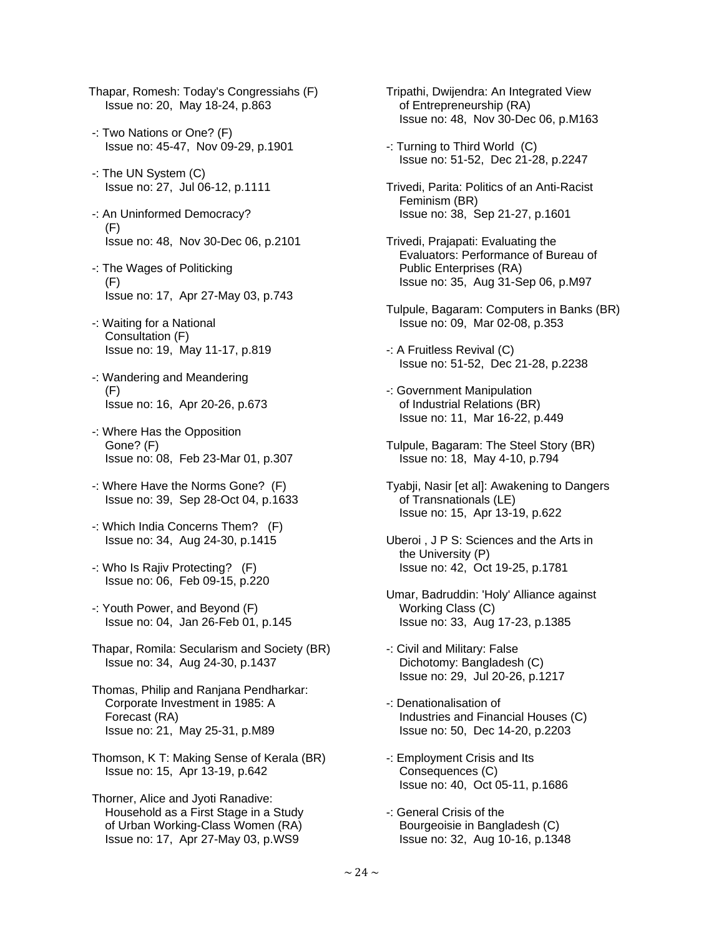- Thapar, Romesh: Today's Congressiahs (F) Issue no: 20, May 18-24, p.863
- -: Two Nations or One? (F) Issue no: 45-47, Nov 09-29, p.1901
- -: The UN System (C) Issue no: 27, Jul 06-12, p.1111
- -: An Uninformed Democracy? (F) Issue no: 48, Nov 30-Dec 06, p.2101
- -: The Wages of Politicking (F) Issue no: 17, Apr 27-May 03, p.743
- -: Waiting for a National Consultation (F) Issue no: 19, May 11-17, p.819
- -: Wandering and Meandering (F) Issue no: 16, Apr 20-26, p.673
- -: Where Has the Opposition Gone? (F) Issue no: 08, Feb 23-Mar 01, p.307
- -: Where Have the Norms Gone? (F) Issue no: 39, Sep 28-Oct 04, p.1633
- -: Which India Concerns Them? (F) Issue no: 34, Aug 24-30, p.1415
- -: Who Is Rajiv Protecting? (F) Issue no: 06, Feb 09-15, p.220
- -: Youth Power, and Beyond (F) Issue no: 04, Jan 26-Feb 01, p.145
- Thapar, Romila: Secularism and Society (BR) Issue no: 34, Aug 24-30, p.1437
- Thomas, Philip and Ranjana Pendharkar: Corporate Investment in 1985: A Forecast (RA) Issue no: 21, May 25-31, p.M89
- Thomson, K T: Making Sense of Kerala (BR) Issue no: 15, Apr 13-19, p.642
- Thorner, Alice and Jyoti Ranadive: Household as a First Stage in a Study of Urban Working-Class Women (RA) Issue no: 17, Apr 27-May 03, p.WS9
- Tripathi, Dwijendra: An Integrated View of Entrepreneurship (RA) Issue no: 48, Nov 30-Dec 06, p.M163
- -: Turning to Third World (C) Issue no: 51-52, Dec 21-28, p.2247
- Trivedi, Parita: Politics of an Anti-Racist Feminism (BR) Issue no: 38, Sep 21-27, p.1601
- Trivedi, Prajapati: Evaluating the Evaluators: Performance of Bureau of Public Enterprises (RA) Issue no: 35, Aug 31-Sep 06, p.M97
- Tulpule, Bagaram: Computers in Banks (BR) Issue no: 09, Mar 02-08, p.353
- -: A Fruitless Revival (C) Issue no: 51-52, Dec 21-28, p.2238
- -: Government Manipulation of Industrial Relations (BR) Issue no: 11, Mar 16-22, p.449
- Tulpule, Bagaram: The Steel Story (BR) Issue no: 18, May 4-10, p.794
- Tyabji, Nasir [et al]: Awakening to Dangers of Transnationals (LE) Issue no: 15, Apr 13-19, p.622
- Uberoi , J P S: Sciences and the Arts in the University (P) Issue no: 42, Oct 19-25, p.1781
- Umar, Badruddin: 'Holy' Alliance against Working Class (C) Issue no: 33, Aug 17-23, p.1385
- -: Civil and Military: False Dichotomy: Bangladesh (C) Issue no: 29, Jul 20-26, p.1217
- -: Denationalisation of Industries and Financial Houses (C) Issue no: 50, Dec 14-20, p.2203
- -: Employment Crisis and Its Consequences (C) Issue no: 40, Oct 05-11, p.1686
- -: General Crisis of the Bourgeoisie in Bangladesh (C) Issue no: 32, Aug 10-16, p.1348